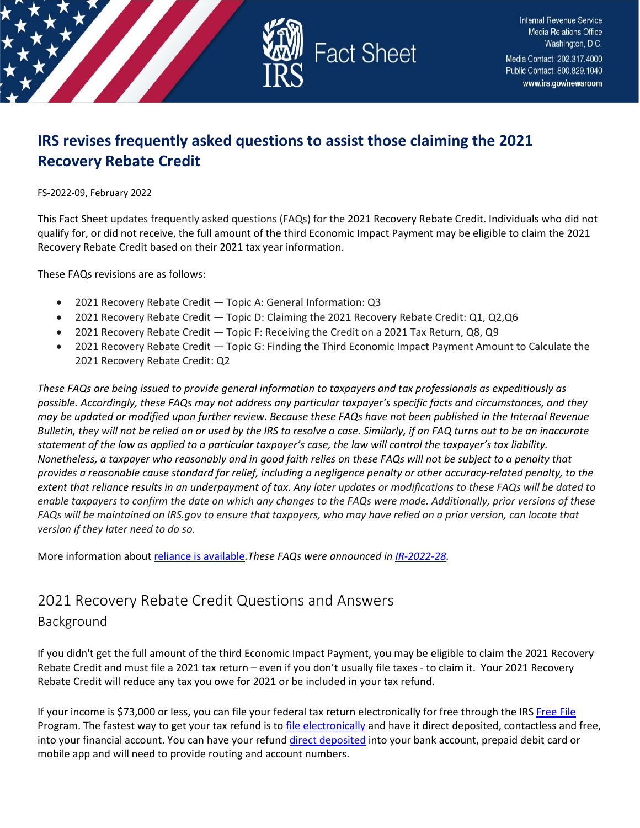

# **IRS revises frequently asked questions to assist those claiming the 2021 Recovery Rebate Credit**

FS-2022-09, February 2022

This Fact Sheet updates frequently asked questions (FAQs) for the 2021 Recovery Rebate Credit. Individuals who did not qualify for, or did not receive, the full amount of the third Economic Impact Payment may be eligible to claim the 2021 Recovery Rebate Credit based on their 2021 tax year information.

These FAQs revisions are as follows:

- 2021 Recovery Rebate Credit Topic A: General Information: Q3
- 2021 Recovery Rebate Credit Topic D: Claiming the 2021 Recovery Rebate Credit: Q1, Q2,Q6
- 2021 Recovery Rebate Credit Topic F: Receiving the Credit on a 2021 Tax Return, Q8, Q9
- 2021 Recovery Rebate Credit Topic G: Finding the Third Economic Impact Payment Amount to Calculate the 2021 Recovery Rebate Credit: Q2

*These FAQs are being issued to provide general information to taxpayers and tax professionals as expeditiously as possible. Accordingly, these FAQs may not address any particular taxpayer's specific facts and circumstances, and they may be updated or modified upon further review. Because these FAQs have not been published in the Internal Revenue Bulletin, they will not be relied on or used by the IRS to resolve a case. Similarly, if an FAQ turns out to be an inaccurate statement of the law as applied to a particular taxpayer's case, the law will control the taxpayer's tax liability. Nonetheless, a taxpayer who reasonably and in good faith relies on these FAQs will not be subject to a penalty that provides a reasonable cause standard for relief, including a negligence penalty or other accuracy-related penalty, to the extent that reliance results in an underpayment of tax. Any later updates or modifications to these FAQs will be dated to enable taxpayers to confirm the date on which any changes to the FAQs were made. Additionally, prior versions of these FAQs will be maintained on IRS.gov to ensure that taxpayers, who may have relied on a prior version, can locate that version if they later need to do so.*

More information abou[t reliance is available](https://www.irs.gov/newsroom/general-overview-of-taxpayer-reliance-on-guidance-published-in-the-internal-revenue-bulletin-and-faqs)*.These FAQs were announced in [IR-2022-28.](https://www.irs.gov/newsroom/irs-updates-frequently-asked-questions-and-answers-for-2021-recovery-rebate-credit)* 

## 2021 Recovery Rebate Credit Questions and Answers

Background

If you didn't get the full amount of the third Economic Impact Payment, you may be eligible to claim the 2021 Recovery Rebate Credit and must file a 2021 tax return – even if you don't usually file taxes - to claim it. Your 2021 Recovery Rebate Credit will reduce any tax you owe for 2021 or be included in your tax refund.

If your income is \$73,000 or less, you can file your federal tax return electronically for free through the IRS [Free File](https://www.irs.gov/filing/free-file-do-your-federal-taxes-for-free) Program. The fastest way to get your tax refund is t[o file electronically](https://www.irs.gov/filing/e-file-options) and have it direct deposited, contactless and free, into your financial account. You can have your refund [direct deposited](https://www.irs.gov/refunds/get-your-refund-faster-tell-irs-to-direct-deposit-your-refund-to-one-two-or-three-accounts) into your bank account, prepaid debit card or mobile app and will need to provide routing and account numbers.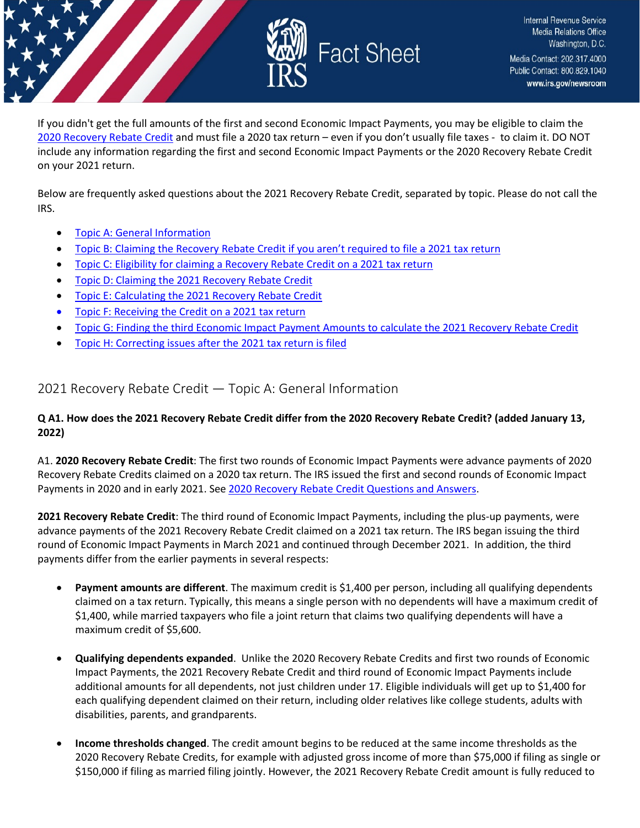

If you didn't get the full amounts of the first and second Economic Impact Payments, you may be eligible to claim the [2020 Recovery Rebate Credit](https://www.irs.gov/newsroom/recovery-rebate-credit) and must file a 2020 tax return – even if you don't usually file taxes - to claim it. DO NOT include any information regarding the first and second Economic Impact Payments or the 2020 Recovery Rebate Credit on your 2021 return.

Below are frequently asked questions about the 2021 Recovery Rebate Credit, separated by topic. Please do not call the IRS.

- [Topic A: General Information](#page-1-0)
- [Topic B: Claiming the Recovery Rebate Credit if you aren't required to file a 2021 tax return](#page-4-0)
- [Topic C: Eligibility for claiming a Recovery Rebate Credit on a 2021 tax return](#page-8-0)
- [Topic D: Claiming the 2021 Recovery Rebate Credit](#page-13-0)
- [Topic E: Calculating the 2021 Recovery Rebate Credit](#page-15-0)
- [Topic F: Receiving the Credit on a 2021 tax return](#page-22-0)
- [Topic G: Finding the third Economic Impact Payment Amounts to calculate the 2021 Recovery Rebate Credit](#page-26-0)
- [Topic H: Correcting issues after the 2021 tax return is filed](#page-28-0)

## <span id="page-1-0"></span>2021 Recovery Rebate Credit — Topic A: General Information

#### **Q A1. How does the 2021 Recovery Rebate Credit differ from the 2020 Recovery Rebate Credit? (added January 13, 2022)**

A1. **2020 Recovery Rebate Credit**: The first two rounds of Economic Impact Payments were advance payments of 2020 Recovery Rebate Credits claimed on a 2020 tax return. The IRS issued the first and second rounds of Economic Impact Payments in 2020 and in early 2021. Se[e 2020 Recovery Rebate Credit Questions and Answers.](https://www.irs.gov/newsroom/recovery-rebate-credit-frequently-asked-questions)

**2021 Recovery Rebate Credit**: The third round of Economic Impact Payments, including the plus-up payments, were advance payments of the 2021 Recovery Rebate Credit claimed on a 2021 tax return. The IRS began issuing the third round of Economic Impact Payments in March 2021 and continued through December 2021. In addition, the third payments differ from the earlier payments in several respects:

- **Payment amounts are different**. The maximum credit is \$1,400 per person, including all qualifying dependents claimed on a tax return. Typically, this means a single person with no dependents will have a maximum credit of \$1,400, while married taxpayers who file a joint return that claims two qualifying dependents will have a maximum credit of \$5,600.
- **Qualifying dependents expanded**. Unlike the 2020 Recovery Rebate Credits and first two rounds of Economic Impact Payments, the 2021 Recovery Rebate Credit and third round of Economic Impact Payments include additional amounts for all dependents, not just children under 17. Eligible individuals will get up to \$1,400 for each qualifying dependent claimed on their return, including older relatives like college students, adults with disabilities, parents, and grandparents.
- **Income thresholds changed**. The credit amount begins to be reduced at the same income thresholds as the 2020 Recovery Rebate Credits, for example with adjusted gross income of more than \$75,000 if filing as single or \$150,000 if filing as married filing jointly. However, the 2021 Recovery Rebate Credit amount is fully reduced to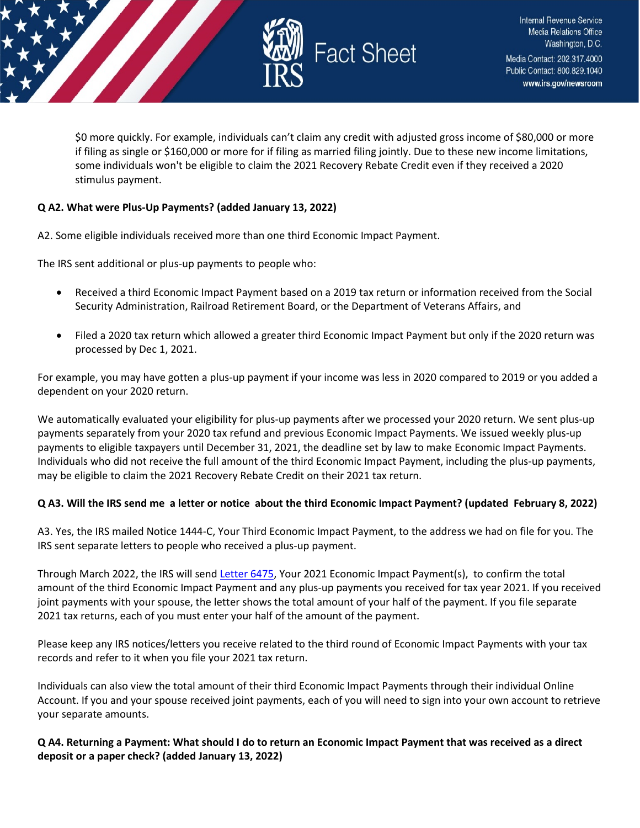

\$0 more quickly. For example, individuals can't claim any credit with adjusted gross income of \$80,000 or more if filing as single or \$160,000 or more for if filing as married filing jointly. Due to these new income limitations, some individuals won't be eligible to claim the 2021 Recovery Rebate Credit even if they received a 2020 stimulus payment.

#### **Q A2. What were Plus-Up Payments? (added January 13, 2022)**

A2. Some eligible individuals received more than one third Economic Impact Payment.

The IRS sent additional or plus-up payments to people who:

- Received a third Economic Impact Payment based on a 2019 tax return or information received from the Social Security Administration, Railroad Retirement Board, or the Department of Veterans Affairs, and
- Filed a 2020 tax return which allowed a greater third Economic Impact Payment but only if the 2020 return was processed by Dec 1, 2021.

For example, you may have gotten a plus-up payment if your income was less in 2020 compared to 2019 or you added a dependent on your 2020 return.

We automatically evaluated your eligibility for plus-up payments after we processed your 2020 return. We sent plus-up payments separately from your 2020 tax refund and previous Economic Impact Payments. We issued weekly plus-up payments to eligible taxpayers until December 31, 2021, the deadline set by law to make Economic Impact Payments. Individuals who did not receive the full amount of the third Economic Impact Payment, including the plus-up payments, may be eligible to claim the 2021 Recovery Rebate Credit on their 2021 tax return.

#### **Q A3. Will the IRS send me a letter or notice about the third Economic Impact Payment? (updated February 8, 2022)**

A3. Yes, the IRS mailed Notice 1444-C, Your Third Economic Impact Payment, to the address we had on file for you. The IRS sent separate letters to people who received a plus-up payment.

Through March 2022, the IRS will send [Letter 6475,](https://www.irs.gov/individuals/understanding-your-letter-6475) Your 2021 Economic Impact Payment(s), to confirm the total amount of the third Economic Impact Payment and any plus-up payments you received for tax year 2021. If you received joint payments with your spouse, the letter shows the total amount of your half of the payment. If you file separate 2021 tax returns, each of you must enter your half of the amount of the payment.

Please keep any IRS notices/letters you receive related to the third round of Economic Impact Payments with your tax records and refer to it when you file your 2021 tax return.

Individuals can also view the total amount of their third Economic Impact Payments through their individual Online Account. If you and your spouse received joint payments, each of you will need to sign into your own account to retrieve your separate amounts.

#### **Q A4. Returning a Payment: What should I do to return an Economic Impact Payment that was received as a direct deposit or a paper check? (added January 13, 2022)**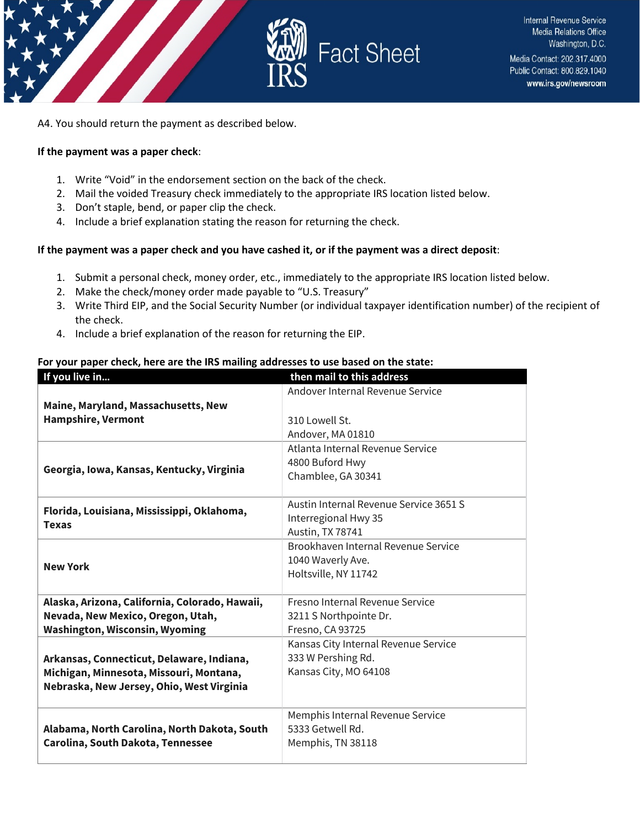

A4. You should return the payment as described below.

#### **If the payment was a paper check**:

- 1. Write "Void" in the endorsement section on the back of the check.
- 2. Mail the voided Treasury check immediately to the appropriate IRS location listed below.
- 3. Don't staple, bend, or paper clip the check.
- 4. Include a brief explanation stating the reason for returning the check.

#### **If the payment was a paper check and you have cashed it, or if the payment was a direct deposit**:

- 1. Submit a personal check, money order, etc., immediately to the appropriate IRS location listed below.
- 2. Make the check/money order made payable to "U.S. Treasury"
- 3. Write Third EIP, and the Social Security Number (or individual taxpayer identification number) of the recipient of the check.
- 4. Include a brief explanation of the reason for returning the EIP.

#### **For your paper check, here are the IRS mailing addresses to use based on the state:**

| If you live in                                             | then mail to this address              |
|------------------------------------------------------------|----------------------------------------|
|                                                            | Andover Internal Revenue Service       |
| Maine, Maryland, Massachusetts, New                        |                                        |
| <b>Hampshire, Vermont</b>                                  | 310 Lowell St.                         |
|                                                            | Andover, MA 01810                      |
|                                                            | Atlanta Internal Revenue Service       |
| Georgia, Iowa, Kansas, Kentucky, Virginia                  | 4800 Buford Hwy                        |
|                                                            | Chamblee, GA 30341                     |
|                                                            |                                        |
| Florida, Louisiana, Mississippi, Oklahoma,<br><b>Texas</b> | Austin Internal Revenue Service 3651 S |
|                                                            | Interregional Hwy 35                   |
|                                                            | Austin, TX 78741                       |
| <b>New York</b>                                            | Brookhaven Internal Revenue Service    |
|                                                            | 1040 Waverly Ave.                      |
|                                                            | Holtsville, NY 11742                   |
|                                                            |                                        |
| Alaska, Arizona, California, Colorado, Hawaii,             | Fresno Internal Revenue Service        |
| Nevada, New Mexico, Oregon, Utah,                          | 3211 S Northpointe Dr.                 |
| <b>Washington, Wisconsin, Wyoming</b>                      | Fresno, CA 93725                       |
|                                                            | Kansas City Internal Revenue Service   |
| Arkansas, Connecticut, Delaware, Indiana,                  | 333 W Pershing Rd.                     |
| Michigan, Minnesota, Missouri, Montana,                    | Kansas City, MO 64108                  |
| Nebraska, New Jersey, Ohio, West Virginia                  |                                        |
|                                                            |                                        |
|                                                            | Memphis Internal Revenue Service       |
| Alabama, North Carolina, North Dakota, South               | 5333 Getwell Rd.                       |
| Carolina, South Dakota, Tennessee                          | Memphis, TN 38118                      |
|                                                            |                                        |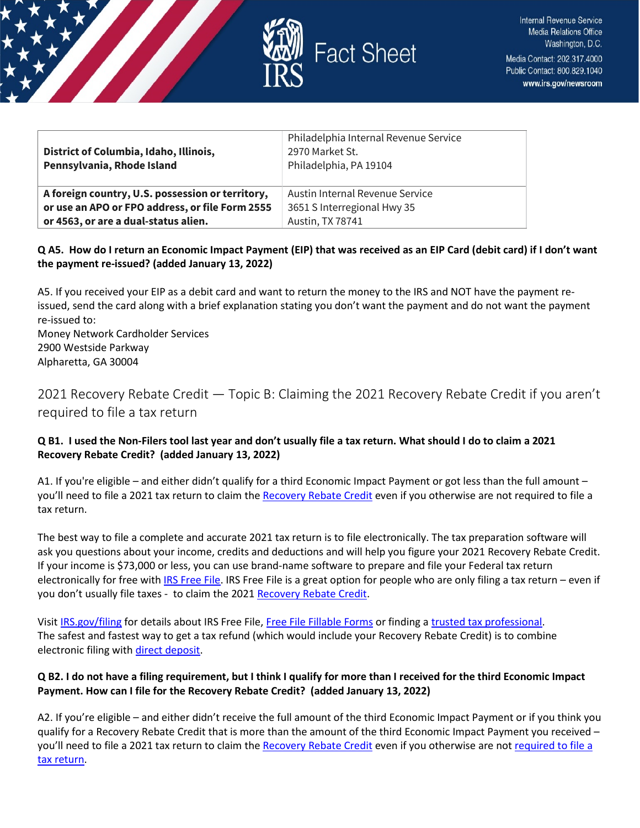

| District of Columbia, Idaho, Illinois,<br>Pennsylvania, Rhode Island | Philadelphia Internal Revenue Service<br>2970 Market St.<br>Philadelphia, PA 19104 |
|----------------------------------------------------------------------|------------------------------------------------------------------------------------|
| A foreign country, U.S. possession or territory,                     | Austin Internal Revenue Service                                                    |
| or use an APO or FPO address, or file Form 2555                      | 3651 S Interregional Hwy 35                                                        |
| or 4563, or are a dual-status alien.                                 | Austin, TX 78741                                                                   |

## **Q A5. How do I return an Economic Impact Payment (EIP) that was received as an EIP Card (debit card) if I don't want the payment re-issued? (added January 13, 2022)**

A5. If you received your EIP as a debit card and want to return the money to the IRS and NOT have the payment reissued, send the card along with a brief explanation stating you don't want the payment and do not want the payment re-issued to:

Money Network Cardholder Services 2900 Westside Parkway Alpharetta, GA 30004

## <span id="page-4-0"></span>2021 Recovery Rebate Credit — Topic B: Claiming the 2021 Recovery Rebate Credit if you aren't required to file a tax return

## **Q B1. I used the Non-Filers tool last year and don't usually file a tax return. What should I do to claim a 2021 Recovery Rebate Credit? (added January 13, 2022)**

A1. If you're eligible – and either didn't qualify for a third Economic Impact Payment or got less than the full amount – you'll need to file a 2021 tax return to claim th[e Recovery Rebate](https://www.irs.gov/newsroom/recovery-rebate-credit) Credit even if you otherwise are not required to file a tax return.

The best way to file a complete and accurate 2021 tax return is to file electronically. The tax preparation software will ask you questions about your income, credits and deductions and will help you figure your 2021 Recovery Rebate Credit. If your income is \$73,000 or less, you can use brand-name software to prepare and file your Federal tax return electronically for free wit[h IRS Free File.](https://www.irs.gov/filing/free-file-do-your-federal-taxes-for-free) IRS Free File is a great option for people who are only filing a tax return - even if you don't usually file taxes - to claim the 2021 [Recovery Rebate Credit.](https://www.irs.gov/newsroom/recovery-rebate-credit)

Visit [IRS.gov/filing](https://www.irs.gov/filing) for details about IRS Free File[, Free File Fillable Forms](https://www.irs.gov/e-file-providers/free-file-fillable-forms) or finding [a trusted tax professional.](https://www.irs.gov/tax-professionals/choosing-a-tax-professional) The safest and fastest way to get a tax refund (which would include your Recovery Rebate Credit) is to combine electronic filing wit[h direct deposit.](https://www.irs.gov/refunds/get-your-refund-faster-tell-irs-to-direct-deposit-your-refund-to-one-two-or-three-accounts)

## **Q B2. I do not have a filing requirement, but I think I qualify for more than I received for the third Economic Impact Payment. How can I file for the Recovery Rebate Credit? (added January 13, 2022)**

A2. If you're eligible – and either didn't receive the full amount of the third Economic Impact Payment or if you think you qualify for a Recovery Rebate Credit that is more than the amount of the third Economic Impact Payment you received – you'll need to file a 2021 tax return to claim th[e Recovery Rebate Credit](https://www.irs.gov/newsroom/recovery-rebate-credit) even if you otherwise are not required to file a [tax return.](https://www.irs.gov/help/ita/do-i-need-to-file-a-tax-return)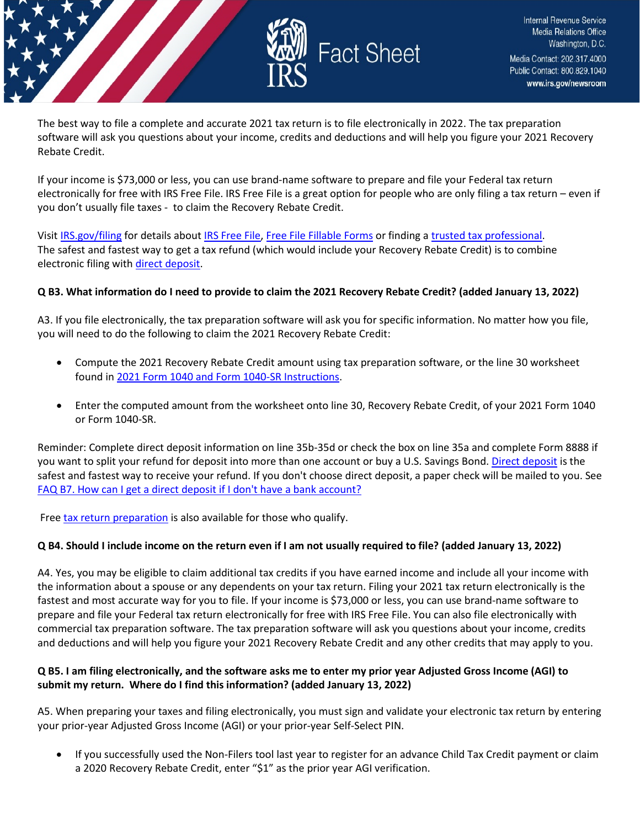

The best way to file a complete and accurate 2021 tax return is to file electronically in 2022. The tax preparation software will ask you questions about your income, credits and deductions and will help you figure your 2021 Recovery Rebate Credit.

If your income is \$73,000 or less, you can use brand-name software to prepare and file your Federal tax return electronically for free with IRS Free File. IRS Free File is a great option for people who are only filing a tax return – even if you don't usually file taxes - to claim the Recovery Rebate Credit.

Visit [IRS.gov/filing](https://www.irs.gov/filing) for details about [IRS Free File,](https://www.irs.gov/filing/free-file-do-your-federal-taxes-for-free) [Free File Fillable Forms](https://www.irs.gov/e-file-providers/free-file-fillable-forms) or finding [a trusted tax professional.](https://www.irs.gov/tax-professionals/choosing-a-tax-professional) The safest and fastest way to get a tax refund (which would include your Recovery Rebate Credit) is to combine electronic filing wit[h direct deposit.](https://www.irs.gov/refunds/get-your-refund-faster-tell-irs-to-direct-deposit-your-refund-to-one-two-or-three-accounts)

#### **Q B3. What information do I need to provide to claim the 2021 Recovery Rebate Credit? (added January 13, 2022)**

A3. If you file electronically, the tax preparation software will ask you for specific information. No matter how you file, you will need to do the following to claim the 2021 Recovery Rebate Credit:

- Compute the 2021 Recovery Rebate Credit amount using tax preparation software, or the line 30 worksheet found in [2021 Form 1040 and Form 1040-SR Instructions.](https://www.irs.gov/forms-pubs/about-form-1040)
- Enter the computed amount from the worksheet onto line 30, Recovery Rebate Credit, of your 2021 Form 1040 or Form 1040-SR.

Reminder: Complete direct deposit information on line 35b-35d or check the box on line 35a and complete Form 8888 if you want to split your refund for deposit into more than one account or buy a U.S. Savings Bond[. Direct deposit](https://www.irs.gov/refunds/get-your-refund-faster-tell-irs-to-direct-deposit-your-refund-to-one-two-or-three-accounts) is the safest and fastest way to receive your refund. If you don't choose direct deposit, a paper check will be mailed to you. See [FAQ B7. How can I get a direct deposit if I don't have a bank account?](https://www.irs.gov/newsroom/2021-recovery-rebate-credit-topic-b-claiming-the-2021-recovery-rebate-credit-if-you-arent-required-to-file-a-tax-return#q7)

Free [tax return preparation](https://www.irs.gov/individuals/free-tax-return-preparation-for-qualifying-taxpayers) is also available for those who qualify.

#### **Q B4. Should I include income on the return even if I am not usually required to file? (added January 13, 2022)**

A4. Yes, you may be eligible to claim additional tax credits if you have earned income and include all your income with the information about a spouse or any dependents on your tax return. Filing your 2021 tax return electronically is the fastest and most accurate way for you to file. If your income is \$73,000 or less, you can use brand-name software to prepare and file your Federal tax return electronically for free with IRS Free File. You can also file electronically with commercial tax preparation software. The tax preparation software will ask you questions about your income, credits and deductions and will help you figure your 2021 Recovery Rebate Credit and any other credits that may apply to you.

#### **Q B5. I am filing electronically, and the software asks me to enter my prior year Adjusted Gross Income (AGI) to submit my return. Where do I find this information? (added January 13, 2022)**

A5. When preparing your taxes and filing electronically, you must sign and validate your electronic tax return by entering your prior-year Adjusted Gross Income (AGI) or your prior-year Self-Select PIN.

• If you successfully used the Non-Filers tool last year to register for an advance Child Tax Credit payment or claim a 2020 Recovery Rebate Credit, enter "\$1" as the prior year AGI verification.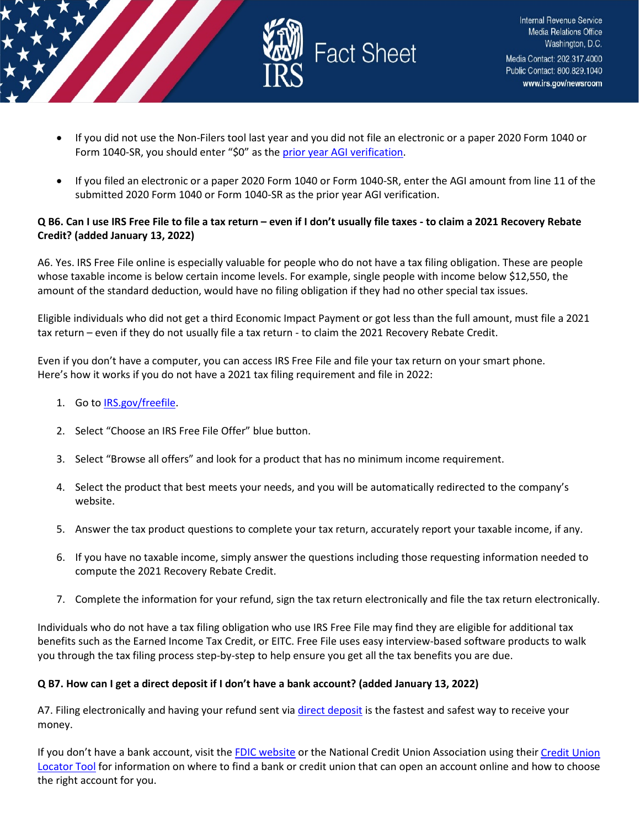

- If you did not use the Non-Filers tool last year and you did not file an electronic or a paper 2020 Form 1040 or Form 1040-SR, you should enter "\$0" as th[e prior year AGI verification.](https://www.irs.gov/individuals/electronic-filing-pin-request)
- If you filed an electronic or a paper 2020 Form 1040 or Form 1040-SR, enter the AGI amount from line 11 of the submitted 2020 Form 1040 or Form 1040-SR as the prior year AGI verification.

### **Q B6. Can I use IRS Free File to file a tax return – even if I don't usually file taxes - to claim a 2021 Recovery Rebate Credit? (added January 13, 2022)**

A6. Yes. IRS Free File online is especially valuable for people who do not have a tax filing obligation. These are people whose taxable income is below certain income levels. For example, single people with income below \$12,550, the amount of the standard deduction, would have no filing obligation if they had no other special tax issues.

Eligible individuals who did not get a third Economic Impact Payment or got less than the full amount, must file a 2021 tax return – even if they do not usually file a tax return - to claim the 2021 Recovery Rebate Credit.

Even if you don't have a computer, you can access IRS Free File and file your tax return on your smart phone. Here's how it works if you do not have a 2021 tax filing requirement and file in 2022:

- 1. Go to [IRS.gov/freefile.](https://www.irs.gov/filing/free-file-do-your-federal-taxes-for-free)
- 2. Select "Choose an IRS Free File Offer" blue button.
- 3. Select "Browse all offers" and look for a product that has no minimum income requirement.
- 4. Select the product that best meets your needs, and you will be automatically redirected to the company's website.
- 5. Answer the tax product questions to complete your tax return, accurately report your taxable income, if any.
- 6. If you have no taxable income, simply answer the questions including those requesting information needed to compute the 2021 Recovery Rebate Credit.
- 7. Complete the information for your refund, sign the tax return electronically and file the tax return electronically.

Individuals who do not have a tax filing obligation who use IRS Free File may find they are eligible for additional tax benefits such as the Earned Income Tax Credit, or EITC. Free File uses easy interview-based software products to walk you through the tax filing process step-by-step to help ensure you get all the tax benefits you are due.

#### **Q B7. How can I get a direct deposit if I don't have a bank account? (added January 13, 2022)**

A7. Filing electronically and having your refund sent via [direct deposit](https://www.irs.gov/refunds/get-your-refund-faster-tell-irs-to-direct-deposit-your-refund-to-one-two-or-three-accounts) is the fastest and safest way to receive your money.

If you don't have a bank account, visit th[e FDIC website](https://www.fdic.gov/about/initiatives/getbanked/index.html) or the National Credit Union Association using thei[r Credit Union](https://www.mycreditunion.gov/about-credit-unions/credit-union-locator)  [Locator Tool](https://www.mycreditunion.gov/about-credit-unions/credit-union-locator) for information on where to find a bank or credit union that can open an account online and how to choose the right account for you.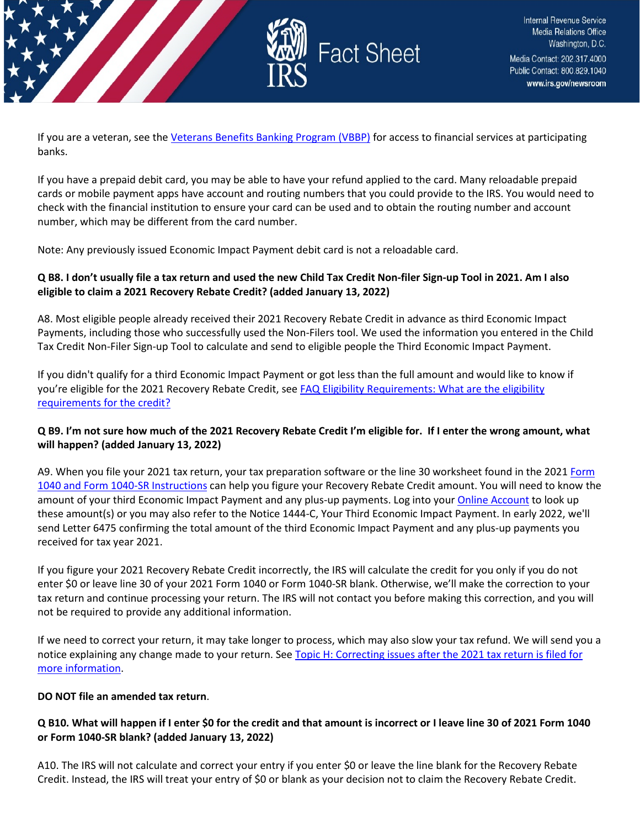

If you are a veteran, see the [Veterans Benefits Banking Program \(VBBP\)](https://www.benefits.va.gov/benefits/banking.asp) for access to financial services at participating banks.

If you have a prepaid debit card, you may be able to have your refund applied to the card. Many reloadable prepaid cards or mobile payment apps have account and routing numbers that you could provide to the IRS. You would need to check with the financial institution to ensure your card can be used and to obtain the routing number and account number, which may be different from the card number.

Note: Any previously issued Economic Impact Payment debit card is not a reloadable card.

### **Q B8. I don't usually file a tax return and used the new Child Tax Credit Non-filer Sign-up Tool in 2021. Am I also eligible to claim a 2021 Recovery Rebate Credit? (added January 13, 2022)**

A8. Most eligible people already received their 2021 Recovery Rebate Credit in advance as third Economic Impact Payments, including those who successfully used the Non-Filers tool. We used the information you entered in the Child Tax Credit Non-Filer Sign-up Tool to calculate and send to eligible people the Third Economic Impact Payment.

If you didn't qualify for a third Economic Impact Payment or got less than the full amount and would like to know if you're eligible for the 2021 Recovery Rebate Credit, see FAQ Eligibility Requirements: What are the eligibility [requirements for the credit?](https://www.irs.gov/newsroom/2021-recovery-rebate-credit-topic-c-eligibility-for-claiming-a-recovery-rebate-credit-on-a-2021-tax-return#q1) 

#### **Q B9. I'm not sure how much of the 2021 Recovery Rebate Credit I'm eligible for. If I enter the wrong amount, what will happen? (added January 13, 2022)**

A9. When you file your 2021 tax return, your tax preparation software or the line 30 worksheet found in the 2021 Form [1040 and Form 1040-SR Instructions](https://www.irs.gov/forms-pubs/about-form-1040) can help you figure your Recovery Rebate Credit amount. You will need to know the amount of your third Economic Impact Payment and any plus-up payments. Log into your [Online Account](https://www.irs.gov/payments/your-online-account) to look up these amount(s) or you may also refer to the Notice 1444-C, Your Third Economic Impact Payment. In early 2022, we'll send Letter 6475 confirming the total amount of the third Economic Impact Payment and any plus-up payments you received for tax year 2021.

If you figure your 2021 Recovery Rebate Credit incorrectly, the IRS will calculate the credit for you only if you do not enter \$0 or leave line 30 of your 2021 Form 1040 or Form 1040-SR blank. Otherwise, we'll make the correction to your tax return and continue processing your return. The IRS will not contact you before making this correction, and you will not be required to provide any additional information.

If we need to correct your return, it may take longer to process, which may also slow your tax refund. We will send you a notice explaining any change made to your return. See [Topic H: Correcting issues after the 2021 tax return is filed for](https://www.irs.gov/newsroom/2021-recovery-rebate-credit-topic-h-correcting-issues-after-the-2021-tax-return-is-filed)  [more information.](https://www.irs.gov/newsroom/2021-recovery-rebate-credit-topic-h-correcting-issues-after-the-2021-tax-return-is-filed)

#### **DO NOT file an amended tax return**.

#### **Q B10. What will happen if I enter \$0 for the credit and that amount is incorrect or I leave line 30 of 2021 Form 1040 or Form 1040-SR blank? (added January 13, 2022)**

A10. The IRS will not calculate and correct your entry if you enter \$0 or leave the line blank for the Recovery Rebate Credit. Instead, the IRS will treat your entry of \$0 or blank as your decision not to claim the Recovery Rebate Credit.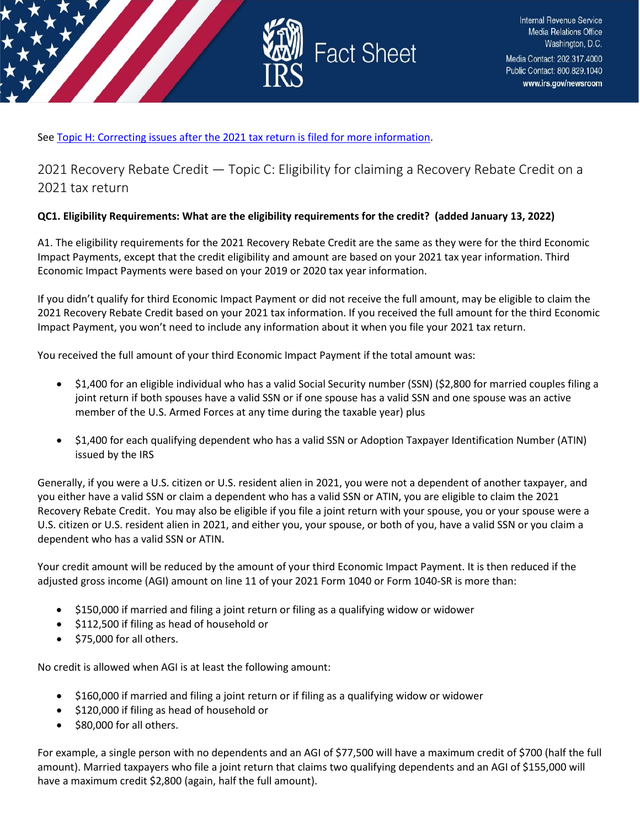

Se[e Topic H: Correcting issues after the 2021 tax return is filed for more information.](https://www.irs.gov/newsroom/2021-recovery-rebate-credit-topic-h-correcting-issues-after-the-2021-tax-return-is-filed)

<span id="page-8-0"></span>2021 Recovery Rebate Credit — Topic C: Eligibility for claiming a Recovery Rebate Credit on a 2021 tax return

## **QC1. Eligibility Requirements: What are the eligibility requirements for the credit? (added January 13, 2022)**

A1. The eligibility requirements for the 2021 Recovery Rebate Credit are the same as they were for the third Economic Impact Payments, except that the credit eligibility and amount are based on your 2021 tax year information. Third Economic Impact Payments were based on your 2019 or 2020 tax year information.

If you didn't qualify for third Economic Impact Payment or did not receive the full amount, may be eligible to claim the 2021 Recovery Rebate Credit based on your 2021 tax information. If you received the full amount for the third Economic Impact Payment, you won't need to include any information about it when you file your 2021 tax return.

You received the full amount of your third Economic Impact Payment if the total amount was:

- \$1,400 for an eligible individual who has a valid Social Security number (SSN) (\$2,800 for married couples filing a joint return if both spouses have a valid SSN or if one spouse has a valid SSN and one spouse was an active member of the U.S. Armed Forces at any time during the taxable year) plus
- \$1,400 for each qualifying dependent who has a valid SSN or Adoption Taxpayer Identification Number (ATIN) issued by the IRS

Generally, if you were a U.S. citizen or U.S. resident alien in 2021, you were not a dependent of another taxpayer, and you either have a valid SSN or claim a dependent who has a valid SSN or ATIN, you are eligible to claim the 2021 Recovery Rebate Credit. You may also be eligible if you file a joint return with your spouse, you or your spouse were a U.S. citizen or U.S. resident alien in 2021, and either you, your spouse, or both of you, have a valid SSN or you claim a dependent who has a valid SSN or ATIN.

Your credit amount will be reduced by the amount of your third Economic Impact Payment. It is then reduced if the adjusted gross income (AGI) amount on line 11 of your 2021 Form 1040 or Form 1040-SR is more than:

- \$150,000 if married and filing a joint return or filing as a qualifying widow or widower
- \$112,500 if filing as head of household or
- \$75,000 for all others.

No credit is allowed when AGI is at least the following amount:

- \$160,000 if married and filing a joint return or if filing as a qualifying widow or widower
- \$120,000 if filing as head of household or
- \$80,000 for all others.

For example, a single person with no dependents and an AGI of \$77,500 will have a maximum credit of \$700 (half the full amount). Married taxpayers who file a joint return that claims two qualifying dependents and an AGI of \$155,000 will have a maximum credit \$2,800 (again, half the full amount).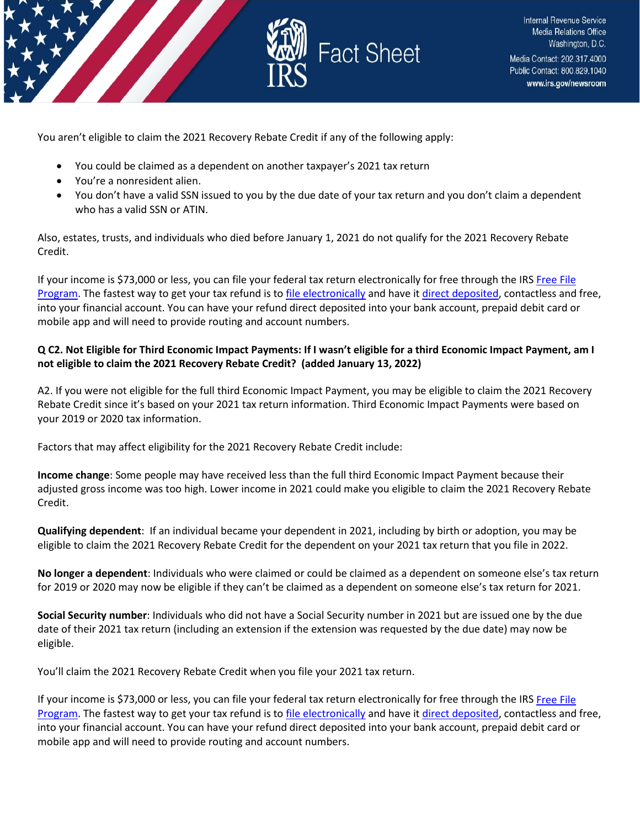



You aren't eligible to claim the 2021 Recovery Rebate Credit if any of the following apply:

- You could be claimed as a dependent on another taxpayer's 2021 tax return
- You're a nonresident alien.
- You don't have a valid SSN issued to you by the due date of your tax return and you don't claim a dependent who has a valid SSN or ATIN.

Also, estates, trusts, and individuals who died before January 1, 2021 do not qualify for the 2021 Recovery Rebate Credit.

If your income is \$73,000 or less, you can file your federal tax return electronically for free through the IRS [Free File](https://www.irs.gov/filing/free-file-do-your-federal-taxes-for-free)  [Program.](https://www.irs.gov/filing/free-file-do-your-federal-taxes-for-free) The fastest way to get your tax refund is t[o file electronically](https://www.irs.gov/filing/e-file-options) and have it [direct deposited,](https://www.irs.gov/refunds/get-your-refund-faster-tell-irs-to-direct-deposit-your-refund-to-one-two-or-three-accounts) contactless and free, into your financial account. You can have your refund direct deposited into your bank account, prepaid debit card or mobile app and will need to provide routing and account numbers.

## **Q C2. Not Eligible for Third Economic Impact Payments: If I wasn't eligible for a third Economic Impact Payment, am I not eligible to claim the 2021 Recovery Rebate Credit? (added January 13, 2022)**

A2. If you were not eligible for the full third Economic Impact Payment, you may be eligible to claim the 2021 Recovery Rebate Credit since it's based on your 2021 tax return information. Third Economic Impact Payments were based on your 2019 or 2020 tax information.

Factors that may affect eligibility for the 2021 Recovery Rebate Credit include:

**Income change**: Some people may have received less than the full third Economic Impact Payment because their adjusted gross income was too high. Lower income in 2021 could make you eligible to claim the 2021 Recovery Rebate Credit.

**Qualifying dependent**: If an individual became your dependent in 2021, including by birth or adoption, you may be eligible to claim the 2021 Recovery Rebate Credit for the dependent on your 2021 tax return that you file in 2022.

**No longer a dependent**: Individuals who were claimed or could be claimed as a dependent on someone else's tax return for 2019 or 2020 may now be eligible if they can't be claimed as a dependent on someone else's tax return for 2021.

**Social Security number**: Individuals who did not have a Social Security number in 2021 but are issued one by the due date of their 2021 tax return (including an extension if the extension was requested by the due date) may now be eligible.

You'll claim the 2021 Recovery Rebate Credit when you file your 2021 tax return.

If your income is \$73,000 or less, you can file your federal tax return electronically for free through the IRS Free File [Program.](https://www.irs.gov/filing/free-file-do-your-federal-taxes-for-free) The fastest way to get your tax refund is t[o file electronically](https://www.irs.gov/filing/e-file-options) and have it [direct deposited,](https://www.irs.gov/refunds/get-your-refund-faster-tell-irs-to-direct-deposit-your-refund-to-one-two-or-three-accounts) contactless and free, into your financial account. You can have your refund direct deposited into your bank account, prepaid debit card or mobile app and will need to provide routing and account numbers.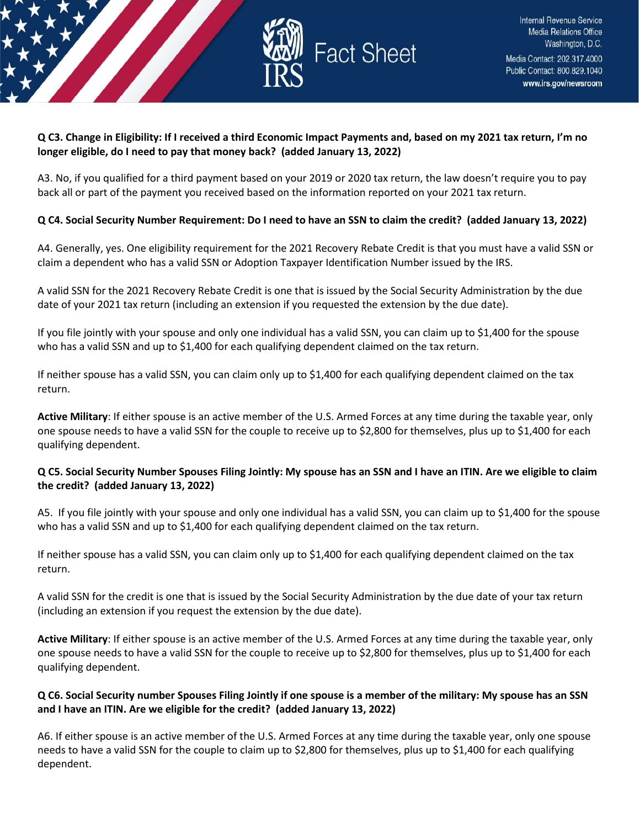

#### **Q C3. Change in Eligibility: If I received a third Economic Impact Payments and, based on my 2021 tax return, I'm no longer eligible, do I need to pay that money back? (added January 13, 2022)**

A3. No, if you qualified for a third payment based on your 2019 or 2020 tax return, the law doesn't require you to pay back all or part of the payment you received based on the information reported on your 2021 tax return.

## **Q C4. Social Security Number Requirement: Do I need to have an SSN to claim the credit? (added January 13, 2022)**

A4. Generally, yes. One eligibility requirement for the 2021 Recovery Rebate Credit is that you must have a valid SSN or claim a dependent who has a valid SSN or Adoption Taxpayer Identification Number issued by the IRS.

A valid SSN for the 2021 Recovery Rebate Credit is one that is issued by the Social Security Administration by the due date of your 2021 tax return (including an extension if you requested the extension by the due date).

If you file jointly with your spouse and only one individual has a valid SSN, you can claim up to \$1,400 for the spouse who has a valid SSN and up to \$1,400 for each qualifying dependent claimed on the tax return.

If neither spouse has a valid SSN, you can claim only up to \$1,400 for each qualifying dependent claimed on the tax return.

**Active Military**: If either spouse is an active member of the U.S. Armed Forces at any time during the taxable year, only one spouse needs to have a valid SSN for the couple to receive up to \$2,800 for themselves, plus up to \$1,400 for each qualifying dependent.

#### **Q C5. Social Security Number Spouses Filing Jointly: My spouse has an SSN and I have an ITIN. Are we eligible to claim the credit? (added January 13, 2022)**

A5. If you file jointly with your spouse and only one individual has a valid SSN, you can claim up to \$1,400 for the spouse who has a valid SSN and up to \$1,400 for each qualifying dependent claimed on the tax return.

If neither spouse has a valid SSN, you can claim only up to \$1,400 for each qualifying dependent claimed on the tax return.

A valid SSN for the credit is one that is issued by the Social Security Administration by the due date of your tax return (including an extension if you request the extension by the due date).

**Active Military**: If either spouse is an active member of the U.S. Armed Forces at any time during the taxable year, only one spouse needs to have a valid SSN for the couple to receive up to \$2,800 for themselves, plus up to \$1,400 for each qualifying dependent.

## **Q C6. Social Security number Spouses Filing Jointly if one spouse is a member of the military: My spouse has an SSN and I have an ITIN. Are we eligible for the credit? (added January 13, 2022)**

A6. If either spouse is an active member of the U.S. Armed Forces at any time during the taxable year, only one spouse needs to have a valid SSN for the couple to claim up to \$2,800 for themselves, plus up to \$1,400 for each qualifying dependent.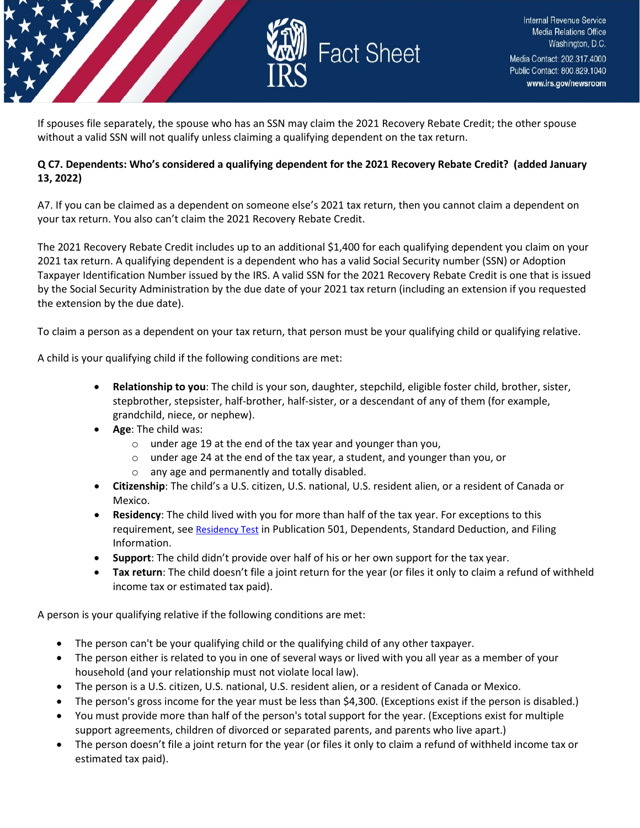

If spouses file separately, the spouse who has an SSN may claim the 2021 Recovery Rebate Credit; the other spouse without a valid SSN will not qualify unless claiming a qualifying dependent on the tax return.

### **Q C7. Dependents: Who's considered a qualifying dependent for the 2021 Recovery Rebate Credit? (added January 13, 2022)**

A7. If you can be claimed as a dependent on someone else's 2021 tax return, then you cannot claim a dependent on your tax return. You also can't claim the 2021 Recovery Rebate Credit.

The 2021 Recovery Rebate Credit includes up to an additional \$1,400 for each qualifying dependent you claim on your 2021 tax return. A qualifying dependent is a dependent who has a valid Social Security number (SSN) or Adoption Taxpayer Identification Number issued by the IRS. A valid SSN for the 2021 Recovery Rebate Credit is one that is issued by the Social Security Administration by the due date of your 2021 tax return (including an extension if you requested the extension by the due date).

To claim a person as a dependent on your tax return, that person must be your qualifying child or qualifying relative.

A child is your qualifying child if the following conditions are met:

- **Relationship to you**: The child is your son, daughter, stepchild, eligible foster child, brother, sister, stepbrother, stepsister, half-brother, half-sister, or a descendant of any of them (for example, grandchild, niece, or nephew).
- **Age**: The child was:
	- o under age 19 at the end of the tax year and younger than you,
	- $\circ$  under age 24 at the end of the tax year, a student, and younger than you, or
	- o any age and permanently and totally disabled.
- **Citizenship**: The child's a U.S. citizen, U.S. national, U.S. resident alien, or a resident of Canada or Mexico.
- **Residency**: The child lived with you for more than half of the tax year. For exceptions to this requirement, se[e Residency Test](https://www.irs.gov/pub/irs-pdf/p501.pdf) in Publication 501, Dependents, Standard Deduction, and Filing Information.
- **Support**: The child didn't provide over half of his or her own support for the tax year.
- **Tax return**: The child doesn't file a joint return for the year (or files it only to claim a refund of withheld income tax or estimated tax paid).

A person is your qualifying relative if the following conditions are met:

- The person can't be your qualifying child or the qualifying child of any other taxpayer.
- The person either is related to you in one of several ways or lived with you all year as a member of your household (and your relationship must not violate local law).
- The person is a U.S. citizen, U.S. national, U.S. resident alien, or a resident of Canada or Mexico.
- The person's gross income for the year must be less than \$4,300. (Exceptions exist if the person is disabled.)
- You must provide more than half of the person's total support for the year. (Exceptions exist for multiple support agreements, children of divorced or separated parents, and parents who live apart.)
- The person doesn't file a joint return for the year (or files it only to claim a refund of withheld income tax or estimated tax paid).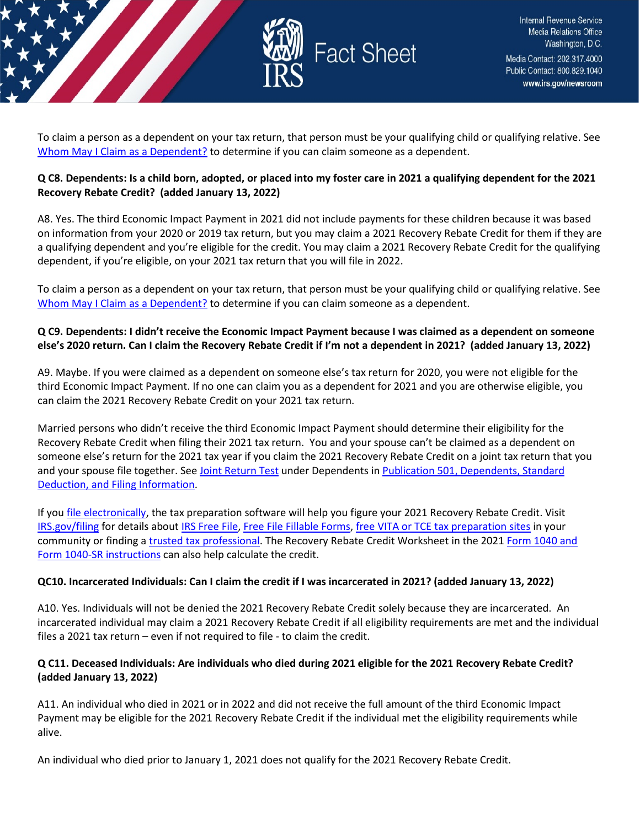

To claim a person as a dependent on your tax return, that person must be your qualifying child or qualifying relative. See [Whom May I Claim as a Dependent?](https://www.irs.gov/help/ita/whom-may-i-claim-as-a-dependent) to determine if you can claim someone as a dependent.

### **Q C8. Dependents: Is a child born, adopted, or placed into my foster care in 2021 a qualifying dependent for the 2021 Recovery Rebate Credit? (added January 13, 2022)**

A8. Yes. The third Economic Impact Payment in 2021 did not include payments for these children because it was based on information from your 2020 or 2019 tax return, but you may claim a 2021 Recovery Rebate Credit for them if they are a qualifying dependent and you're eligible for the credit. You may claim a 2021 Recovery Rebate Credit for the qualifying dependent, if you're eligible, on your 2021 tax return that you will file in 2022.

To claim a person as a dependent on your tax return, that person must be your qualifying child or qualifying relative. See [Whom May I Claim as a Dependent?](https://www.irs.gov/help/ita/whom-may-i-claim-as-a-dependent) to determine if you can claim someone as a dependent.

### **Q C9. Dependents: I didn't receive the Economic Impact Payment because I was claimed as a dependent on someone else's 2020 return. Can I claim the Recovery Rebate Credit if I'm not a dependent in 2021? (added January 13, 2022)**

A9. Maybe. If you were claimed as a dependent on someone else's tax return for 2020, you were not eligible for the third Economic Impact Payment. If no one can claim you as a dependent for 2021 and you are otherwise eligible, you can claim the 2021 Recovery Rebate Credit on your 2021 tax return.

Married persons who didn't receive the third Economic Impact Payment should determine their eligibility for the Recovery Rebate Credit when filing their 2021 tax return. You and your spouse can't be claimed as a dependent on someone else's return for the 2021 tax year if you claim the 2021 Recovery Rebate Credit on a joint tax return that you and your spouse file together. See [Joint Return Test](https://www.irs.gov/pub/irs-pdf/p501.pdf) under Dependents in Publication 501, Dependents, Standard [Deduction, and Filing Information.](https://www.irs.gov/forms-pubs/about-publication-501)

If yo[u file electronically,](https://www.irs.gov/filing/e-file-options) the tax preparation software will help you figure your 2021 Recovery Rebate Credit. Visit [IRS.gov/filing](https://www.irs.gov/filing) for details abou[t IRS Free File,](https://www.irs.gov/filing/free-file-do-your-federal-taxes-for-free) [Free File Fillable Forms,](https://www.irs.gov/e-file-providers/free-file-fillable-forms) [free VITA or TCE tax preparation sites](https://www.irs.gov/individuals/irs-free-tax-return-preparation-programs) in your community or finding [a trusted tax professional.](https://www.irs.gov/tax-professionals/choosing-a-tax-professional) The Recovery Rebate Credit Worksheet in the 2021 [Form 1040 and](https://www.irs.gov/forms-pubs/about-form-1040)  [Form 1040-SR instructions](https://www.irs.gov/forms-pubs/about-form-1040) can also help calculate the credit.

#### **QC10. Incarcerated Individuals: Can I claim the credit if I was incarcerated in 2021? (added January 13, 2022)**

A10. Yes. Individuals will not be denied the 2021 Recovery Rebate Credit solely because they are incarcerated. An incarcerated individual may claim a 2021 Recovery Rebate Credit if all eligibility requirements are met and the individual files a 2021 tax return – even if not required to file - to claim the credit.

#### **Q C11. Deceased Individuals: Are individuals who died during 2021 eligible for the 2021 Recovery Rebate Credit? (added January 13, 2022)**

A11. An individual who died in 2021 or in 2022 and did not receive the full amount of the third Economic Impact Payment may be eligible for the 2021 Recovery Rebate Credit if the individual met the eligibility requirements while alive.

An individual who died prior to January 1, 2021 does not qualify for the 2021 Recovery Rebate Credit.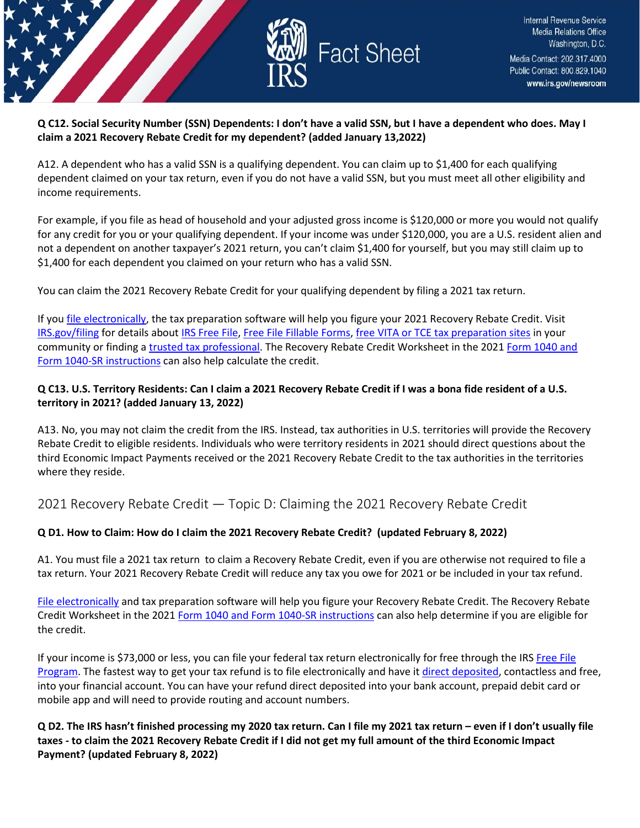

#### **Q C12. Social Security Number (SSN) Dependents: I don't have a valid SSN, but I have a dependent who does. May I claim a 2021 Recovery Rebate Credit for my dependent? (added January 13,2022)**

A12. A dependent who has a valid SSN is a qualifying dependent. You can claim up to \$1,400 for each qualifying dependent claimed on your tax return, even if you do not have a valid SSN, but you must meet all other eligibility and income requirements.

For example, if you file as head of household and your adjusted gross income is \$120,000 or more you would not qualify for any credit for you or your qualifying dependent. If your income was under \$120,000, you are a U.S. resident alien and not a dependent on another taxpayer's 2021 return, you can't claim \$1,400 for yourself, but you may still claim up to \$1,400 for each dependent you claimed on your return who has a valid SSN.

You can claim the 2021 Recovery Rebate Credit for your qualifying dependent by filing a 2021 tax return.

If yo[u file electronically,](https://www.irs.gov/filing/e-file-options) the tax preparation software will help you figure your 2021 Recovery Rebate Credit. Visit [IRS.gov/filing](https://www.irs.gov/filing) for details abou[t IRS Free File,](https://www.irs.gov/filing/free-file-do-your-federal-taxes-for-free) [Free File Fillable Forms,](https://www.irs.gov/e-file-providers/free-file-fillable-forms) [free VITA or TCE tax preparation sites](https://www.irs.gov/individuals/irs-free-tax-return-preparation-programs) in your community or finding [a trusted tax professional.](https://www.irs.gov/tax-professionals/choosing-a-tax-professional) The Recovery Rebate Credit Worksheet in the 2021 [Form 1040 and](https://www.irs.gov/forms-pubs/about-form-1040)  [Form 1040-SR instructions](https://www.irs.gov/forms-pubs/about-form-1040) can also help calculate the credit.

## **Q C13. U.S. Territory Residents: Can I claim a 2021 Recovery Rebate Credit if I was a bona fide resident of a U.S. territory in 2021? (added January 13, 2022)**

A13. No, you may not claim the credit from the IRS. Instead, tax authorities in U.S. territories will provide the Recovery Rebate Credit to eligible residents. Individuals who were territory residents in 2021 should direct questions about the third Economic Impact Payments received or the 2021 Recovery Rebate Credit to the tax authorities in the territories where they reside.

## <span id="page-13-0"></span>2021 Recovery Rebate Credit — Topic D: Claiming the 2021 Recovery Rebate Credit

## **Q D1. How to Claim: How do I claim the 2021 Recovery Rebate Credit? (updated February 8, 2022)**

A1. You must file a 2021 tax return to claim a Recovery Rebate Credit, even if you are otherwise not required to file a tax return. Your 2021 Recovery Rebate Credit will reduce any tax you owe for 2021 or be included in your tax refund.

[File electronically](https://www.irs.gov/filing/e-file-options) and tax preparation software will help you figure your Recovery Rebate Credit. The Recovery Rebate Credit Worksheet in the 2021 [Form 1040 and Form 1040-SR instructions](https://www.irs.gov/forms-pubs/about-form-1040) can also help determine if you are eligible for the credit.

If your income is \$73,000 or less, you can file your federal tax return electronically for free through the IRS [Free File](https://www.irs.gov/filing/free-file-do-your-federal-taxes-for-free)  [Program.](https://www.irs.gov/filing/free-file-do-your-federal-taxes-for-free) The fastest way to get your tax refund is to file electronically and have it [direct deposited,](https://www.irs.gov/refunds/get-your-refund-faster-tell-irs-to-direct-deposit-your-refund-to-one-two-or-three-accounts) contactless and free, into your financial account. You can have your refund direct deposited into your bank account, prepaid debit card or mobile app and will need to provide routing and account numbers.

**Q D2. The IRS hasn't finished processing my 2020 tax return. Can I file my 2021 tax return – even if I don't usually file taxes - to claim the 2021 Recovery Rebate Credit if I did not get my full amount of the third Economic Impact Payment? (updated February 8, 2022)**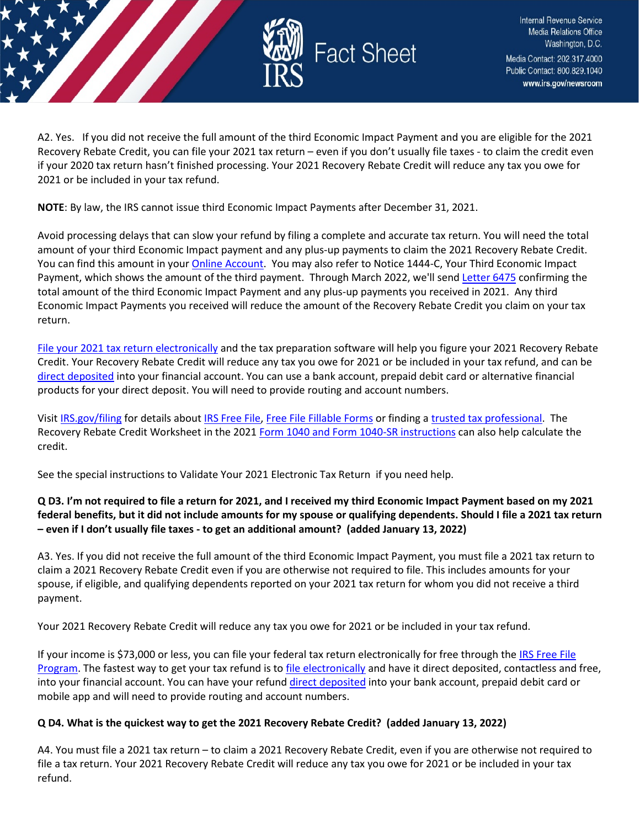

A2. Yes. If you did not receive the full amount of the third Economic Impact Payment and you are eligible for the 2021 Recovery Rebate Credit, you can file your 2021 tax return – even if you don't usually file taxes - to claim the credit even if your 2020 tax return hasn't finished processing. Your 2021 Recovery Rebate Credit will reduce any tax you owe for 2021 or be included in your tax refund.

**NOTE**: By law, the IRS cannot issue third Economic Impact Payments after December 31, 2021.

Avoid processing delays that can slow your refund by filing a complete and accurate tax return. You will need the total amount of your third Economic Impact payment and any plus-up payments to claim the 2021 Recovery Rebate Credit. You can find this amount in you[r Online Account.](https://www.irs.gov/payments/your-online-account) You may also refer to Notice 1444-C, Your Third Economic Impact Payment, which shows the amount of the third payment. Through March 2022, we'll send [Letter 6475](https://www.irs.gov/individuals/understanding-your-letter-6475) confirming the total amount of the third Economic Impact Payment and any plus-up payments you received in 2021. Any third Economic Impact Payments you received will reduce the amount of the Recovery Rebate Credit you claim on your tax return.

[File your 2021 tax return electronically](https://www.irs.gov/filing/e-file-options) and the tax preparation software will help you figure your 2021 Recovery Rebate Credit. Your Recovery Rebate Credit will reduce any tax you owe for 2021 or be included in your tax refund, and can be [direct deposited](https://www.irs.gov/refunds/get-your-refund-faster-tell-irs-to-direct-deposit-your-refund-to-one-two-or-three-accounts) into your financial account. You can use a bank account, prepaid debit card or alternative financial products for your direct deposit. You will need to provide routing and account numbers.

Visit [IRS.gov/filing](https://www.irs.gov/filing) for details about [IRS Free File,](https://www.irs.gov/filing/free-file-do-your-federal-taxes-for-free) [Free File Fillable Forms](https://www.irs.gov/e-file-providers/free-file-fillable-forms) or finding [a trusted tax professional.](https://www.irs.gov/tax-professionals/choosing-a-tax-professional) The Recovery Rebate Credit Worksheet in the 2021 [Form 1040 and Form 1040-SR instructions](https://www.irs.gov/forms-pubs/about-form-1040) can also help calculate the credit.

See the special instructions to Validate Your 2021 Electronic Tax Return if you need help.

## **Q D3. I'm not required to file a return for 2021, and I received my third Economic Impact Payment based on my 2021 federal benefits, but it did not include amounts for my spouse or qualifying dependents. Should I file a 2021 tax return – even if I don't usually file taxes - to get an additional amount? (added January 13, 2022)**

A3. Yes. If you did not receive the full amount of the third Economic Impact Payment, you must file a 2021 tax return to claim a 2021 Recovery Rebate Credit even if you are otherwise not required to file. This includes amounts for your spouse, if eligible, and qualifying dependents reported on your 2021 tax return for whom you did not receive a third payment.

Your 2021 Recovery Rebate Credit will reduce any tax you owe for 2021 or be included in your tax refund.

If your income is \$73,000 or less, you can file your federal tax return electronically for free through th[e IRS Free File](https://www.irs.gov/filing/free-file-do-your-federal-taxes-for-free)  [Program.](https://www.irs.gov/filing/free-file-do-your-federal-taxes-for-free) The fastest way to get your tax refund is t[o file electronically](https://www.irs.gov/filing/e-file-options) and have it direct deposited, contactless and free, into your financial account. You can have your refund [direct deposited](https://www.irs.gov/refunds/get-your-refund-faster-tell-irs-to-direct-deposit-your-refund-to-one-two-or-three-accounts) into your bank account, prepaid debit card or mobile app and will need to provide routing and account numbers.

#### **Q D4. What is the quickest way to get the 2021 Recovery Rebate Credit? (added January 13, 2022)**

A4. You must file a 2021 tax return – to claim a 2021 Recovery Rebate Credit, even if you are otherwise not required to file a tax return. Your 2021 Recovery Rebate Credit will reduce any tax you owe for 2021 or be included in your tax refund.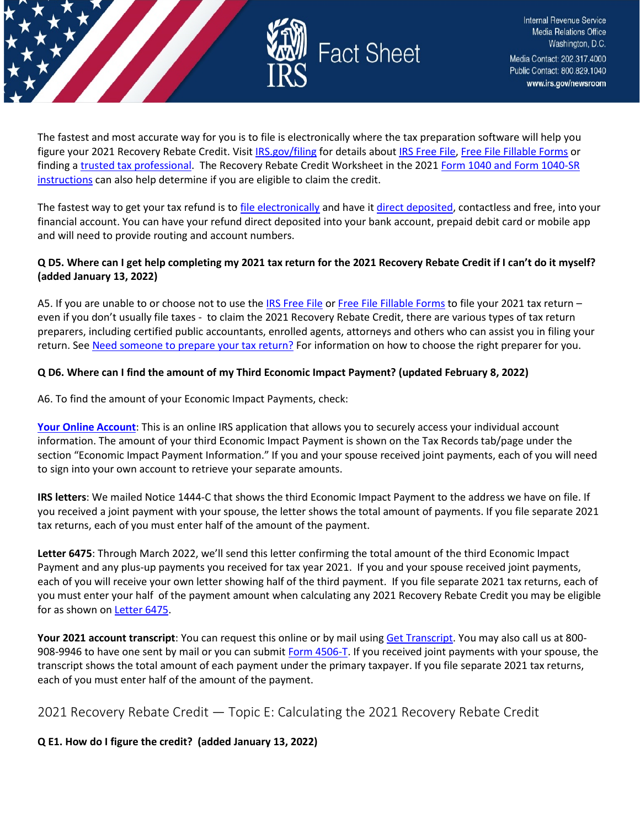

The fastest and most accurate way for you is to file is electronically where the tax preparation software will help you figure your 2021 Recovery Rebate Credit. Visit [IRS.gov/filing](https://www.irs.gov/filing) for details abou[t IRS Free File,](https://www.irs.gov/filing/free-file-do-your-federal-taxes-for-free) [Free File Fillable Forms](https://www.irs.gov/e-file-providers/free-file-fillable-forms) or finding a [trusted tax professional.](https://www.irs.gov/tax-professionals/choosing-a-tax-professional) The Recovery Rebate Credit Worksheet in the 2021 Form 1040 and Form 1040-SR [instructions](https://www.irs.gov/forms-pubs/about-form-1040) can also help determine if you are eligible to claim the credit.

The fastest way to get your tax refund is to [file electronically](https://www.irs.gov/filing/e-file-options) and have i[t direct deposited,](https://www.irs.gov/refunds/get-your-refund-faster-tell-irs-to-direct-deposit-your-refund-to-one-two-or-three-accounts) contactless and free, into your financial account. You can have your refund direct deposited into your bank account, prepaid debit card or mobile app and will need to provide routing and account numbers.

#### **Q D5. Where can I get help completing my 2021 tax return for the 2021 Recovery Rebate Credit if I can't do it myself? (added January 13, 2022)**

A5. If you are unable to or choose not to use th[e IRS Free File](https://www.irs.gov/filing/free-file-do-your-federal-taxes-for-free) o[r Free File Fillable Forms](https://www.irs.gov/e-file-providers/free-file-fillable-forms) to file your 2021 tax return even if you don't usually file taxes - to claim the 2021 Recovery Rebate Credit, there are various types of tax return preparers, including certified public accountants, enrolled agents, attorneys and others who can assist you in filing your return. See [Need someone to prepare your tax return?](https://www.irs.gov/tax-professionals/choosing-a-tax-professional) For information on how to choose the right preparer for you.

#### **Q D6. Where can I find the amount of my Third Economic Impact Payment? (updated February 8, 2022)**

A6. To find the amount of your Economic Impact Payments, check:

**[Your Online Account](https://www.irs.gov/payments/your-online-account)**: This is an online IRS application that allows you to securely access your individual account information. The amount of your third Economic Impact Payment is shown on the Tax Records tab/page under the section "Economic Impact Payment Information." If you and your spouse received joint payments, each of you will need to sign into your own account to retrieve your separate amounts.

**IRS letters**: We mailed Notice 1444-C that shows the third Economic Impact Payment to the address we have on file. If you received a joint payment with your spouse, the letter shows the total amount of payments. If you file separate 2021 tax returns, each of you must enter half of the amount of the payment.

**Letter 6475**: Through March 2022, we'll send this letter confirming the total amount of the third Economic Impact Payment and any plus-up payments you received for tax year 2021. If you and your spouse received joint payments, each of you will receive your own letter showing half of the third payment. If you file separate 2021 tax returns, each of you must enter your half of the payment amount when calculating any 2021 Recovery Rebate Credit you may be eligible for as shown o[n Letter 6475.](https://www.irs.gov/individuals/understanding-your-letter-6475)

Your 2021 account transcript: You can request this online or by mail using [Get Transcript.](https://www.irs.gov/individuals/get-transcript) You may also call us at 800908-9946 to have one sent by mail or you can submi[t Form 4506-T.](https://www.irs.gov/forms-pubs/about-form-4506-t) If you received joint payments with your spouse, the transcript shows the total amount of each payment under the primary taxpayer. If you file separate 2021 tax returns, each of you must enter half of the amount of the payment.

<span id="page-15-0"></span>2021 Recovery Rebate Credit — Topic E: Calculating the 2021 Recovery Rebate Credit

#### **Q E1. How do I figure the credit? (added January 13, 2022)**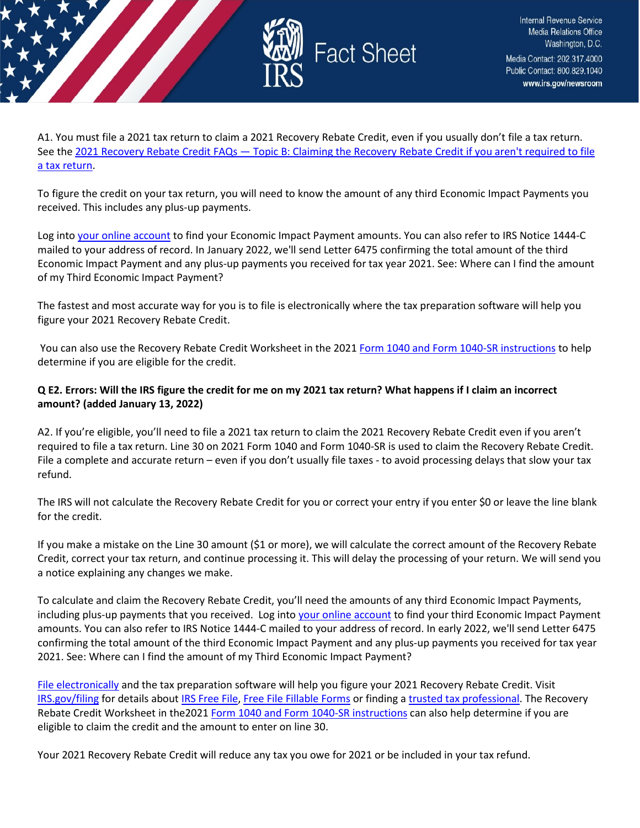

A1. You must file a 2021 tax return to claim a 2021 Recovery Rebate Credit, even if you usually don't file a tax return. See the [2021 Recovery Rebate Credit FAQs — Topic B: Claiming the Recovery Rebate Credit if you aren't required to file](https://www.irs.gov/newsroom/2021-recovery-rebate-credit-topic-b-claiming-the-2021-recovery-rebate-credit-if-you-arent-required-to-file-a-tax-return)  [a tax return.](https://www.irs.gov/newsroom/2021-recovery-rebate-credit-topic-b-claiming-the-2021-recovery-rebate-credit-if-you-arent-required-to-file-a-tax-return)

To figure the credit on your tax return, you will need to know the amount of any third Economic Impact Payments you received. This includes any plus-up payments.

Log into [your online account](https://www.irs.gov/payments/your-online-account) to find your Economic Impact Payment amounts. You can also refer to IRS Notice 1444-C mailed to your address of record. In January 2022, we'll send Letter 6475 confirming the total amount of the third Economic Impact Payment and any plus-up payments you received for tax year 2021. See: Where can I find the amount of my Third Economic Impact Payment?

The fastest and most accurate way for you is to file is electronically where the tax preparation software will help you figure your 2021 Recovery Rebate Credit.

You can also use the Recovery Rebate Credit Worksheet in the 2021 [Form 1040 and Form 1040-SR instructions](https://www.irs.gov/forms-pubs/about-form-1040) to help determine if you are eligible for the credit.

## **Q E2. Errors: Will the IRS figure the credit for me on my 2021 tax return? What happens if I claim an incorrect amount? (added January 13, 2022)**

A2. If you're eligible, you'll need to file a 2021 tax return to claim the 2021 Recovery Rebate Credit even if you aren't required to file a tax return. Line 30 on 2021 Form 1040 and Form 1040-SR is used to claim the Recovery Rebate Credit. File a complete and accurate return – even if you don't usually file taxes - to avoid processing delays that slow your tax refund.

The IRS will not calculate the Recovery Rebate Credit for you or correct your entry if you enter \$0 or leave the line blank for the credit.

If you make a mistake on the Line 30 amount (\$1 or more), we will calculate the correct amount of the Recovery Rebate Credit, correct your tax return, and continue processing it. This will delay the processing of your return. We will send you a notice explaining any changes we make.

To calculate and claim the Recovery Rebate Credit, you'll need the amounts of any third Economic Impact Payments, including plus-up payments that you received. Log int[o your online account](https://www.irs.gov/payments/your-online-account) to find your third Economic Impact Payment amounts. You can also refer to IRS Notice 1444-C mailed to your address of record. In early 2022, we'll send Letter 6475 confirming the total amount of the third Economic Impact Payment and any plus-up payments you received for tax year 2021. See: Where can I find the amount of my Third Economic Impact Payment?

[File electronically](https://www.irs.gov/filing/e-file-options) and the tax preparation software will help you figure your 2021 Recovery Rebate Credit. Visit [IRS.gov/filing](https://www.irs.gov/filing) for details abou[t IRS Free File,](https://www.irs.gov/filing/free-file-do-your-federal-taxes-for-free) [Free File Fillable Forms](https://www.irs.gov/e-file-providers/free-file-fillable-forms) or finding a [trusted tax professional.](https://www.irs.gov/tax-professionals/choosing-a-tax-professional) The Recovery Rebate Credit Worksheet in the2021 [Form 1040 and Form 1040-SR instructions](https://www.irs.gov/forms-pubs/about-form-1040) can also help determine if you are eligible to claim the credit and the amount to enter on line 30.

Your 2021 Recovery Rebate Credit will reduce any tax you owe for 2021 or be included in your tax refund.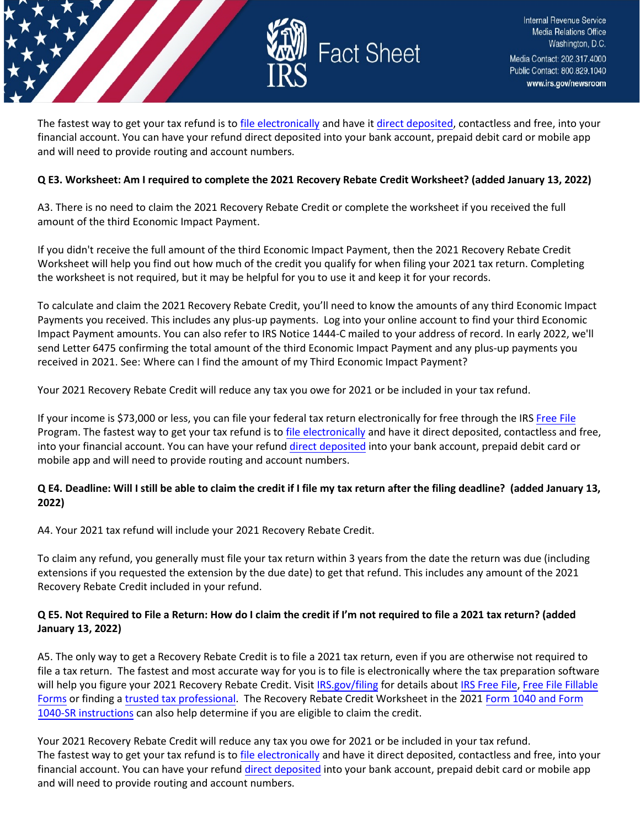

The fastest way to get your tax refund is to [file electronically](https://www.irs.gov/filing/e-file-options) and have it [direct deposited,](https://www.irs.gov/refunds/get-your-refund-faster-tell-irs-to-direct-deposit-your-refund-to-one-two-or-three-accounts) contactless and free, into your financial account. You can have your refund direct deposited into your bank account, prepaid debit card or mobile app and will need to provide routing and account numbers.

#### **Q E3. Worksheet: Am I required to complete the 2021 Recovery Rebate Credit Worksheet? (added January 13, 2022)**

A3. There is no need to claim the 2021 Recovery Rebate Credit or complete the worksheet if you received the full amount of the third Economic Impact Payment.

If you didn't receive the full amount of the third Economic Impact Payment, then the 2021 Recovery Rebate Credit Worksheet will help you find out how much of the credit you qualify for when filing your 2021 tax return. Completing the worksheet is not required, but it may be helpful for you to use it and keep it for your records.

To calculate and claim the 2021 Recovery Rebate Credit, you'll need to know the amounts of any third Economic Impact Payments you received. This includes any plus-up payments. Log into your online account to find your third Economic Impact Payment amounts. You can also refer to IRS Notice 1444-C mailed to your address of record. In early 2022, we'll send Letter 6475 confirming the total amount of the third Economic Impact Payment and any plus-up payments you received in 2021. See: Where can I find the amount of my Third Economic Impact Payment?

Your 2021 Recovery Rebate Credit will reduce any tax you owe for 2021 or be included in your tax refund.

If your income is \$73,000 or less, you can file your federal tax return electronically for free through the IRS [Free File](https://www.irs.gov/filing/free-file-do-your-federal-taxes-for-free) Program. The fastest way to get your tax refund is to [file electronically](https://www.irs.gov/filing/e-file-options) and have it direct deposited, contactless and free, into your financial account. You can have your refund [direct deposited](https://www.irs.gov/refunds/get-your-refund-faster-tell-irs-to-direct-deposit-your-refund-to-one-two-or-three-accounts) into your bank account, prepaid debit card or mobile app and will need to provide routing and account numbers.

## **Q E4. Deadline: Will I still be able to claim the credit if I file my tax return after the filing deadline? (added January 13, 2022)**

A4. Your 2021 tax refund will include your 2021 Recovery Rebate Credit.

To claim any refund, you generally must file your tax return within 3 years from the date the return was due (including extensions if you requested the extension by the due date) to get that refund. This includes any amount of the 2021 Recovery Rebate Credit included in your refund.

#### **Q E5. Not Required to File a Return: How do I claim the credit if I'm not required to file a 2021 tax return? (added January 13, 2022)**

A5. The only way to get a Recovery Rebate Credit is to file a 2021 tax return, even if you are otherwise not required to file a tax return. The fastest and most accurate way for you is to file is electronically where the tax preparation software will help you figure your 2021 Recovery Rebate Credit. Visit [IRS.gov/filing](https://www.irs.gov/filing) for details about [IRS Free File,](https://www.irs.gov/filing/free-file-do-your-federal-taxes-for-free) [Free File](https://www.irs.gov/e-file-providers/free-file-fillable-forms) Fillable [Forms](https://www.irs.gov/e-file-providers/free-file-fillable-forms) or finding [a trusted tax professional.](https://www.irs.gov/tax-professionals/choosing-a-tax-professional) The Recovery Rebate Credit Worksheet in the 2021 [Form 1040 and Form](https://www.irs.gov/forms-pubs/about-form-1040) [1040-SR instructions](https://www.irs.gov/forms-pubs/about-form-1040) can also help determine if you are eligible to claim the credit.

Your 2021 Recovery Rebate Credit will reduce any tax you owe for 2021 or be included in your tax refund. The fastest way to get your tax refund is to [file electronically](https://www.irs.gov/filing/e-file-options) and have it direct deposited, contactless and free, into your financial account. You can have your refund [direct deposited](https://www.irs.gov/refunds/get-your-refund-faster-tell-irs-to-direct-deposit-your-refund-to-one-two-or-three-accounts) into your bank account, prepaid debit card or mobile app and will need to provide routing and account numbers.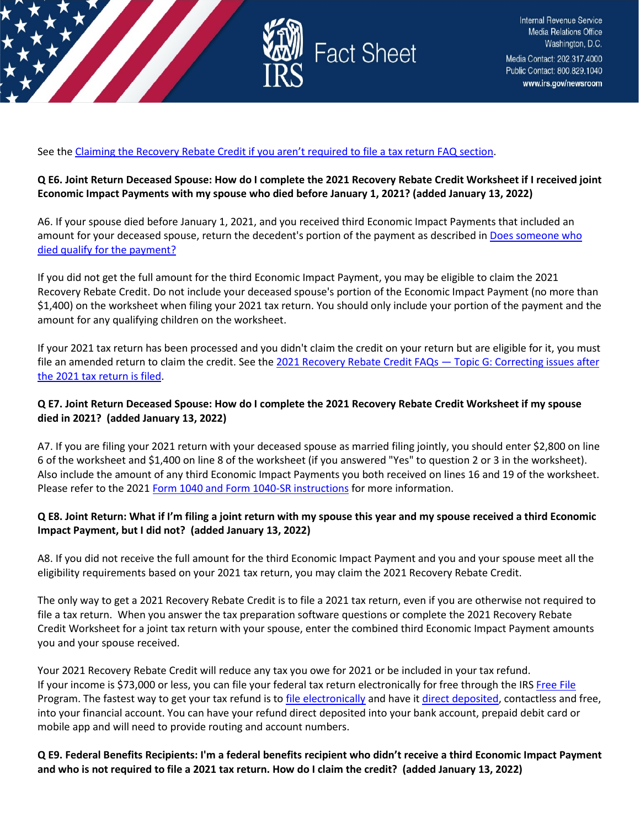

See the [Claiming the Recovery Rebate Credit if you aren't required to file a tax return FAQ section.](https://www.irs.gov/newsroom/2021-recovery-rebate-credit-topic-b-claiming-the-2021-recovery-rebate-credit-if-you-arent-required-to-file-a-tax-return)

#### **Q E6. Joint Return Deceased Spouse: How do I complete the 2021 Recovery Rebate Credit Worksheet if I received joint Economic Impact Payments with my spouse who died before January 1, 2021? (added January 13, 2022)**

A6. If your spouse died before January 1, 2021, and you received third Economic Impact Payments that included an amount for your deceased spouse, return the decedent's portion of the payment as described in [Does someone who](https://www.irs.gov/newsroom/questions-and-answers-about-the-first-economic-impact-payment-topic-a-eligibility)  [died qualify for the payment?](https://www.irs.gov/newsroom/questions-and-answers-about-the-first-economic-impact-payment-topic-a-eligibility)

If you did not get the full amount for the third Economic Impact Payment, you may be eligible to claim the 2021 Recovery Rebate Credit. Do not include your deceased spouse's portion of the Economic Impact Payment (no more than \$1,400) on the worksheet when filing your 2021 tax return. You should only include your portion of the payment and the amount for any qualifying children on the worksheet.

If your 2021 tax return has been processed and you didn't claim the credit on your return but are eligible for it, you must file an amended return to claim the credit. See the 2021 Recovery Rebate Credit FAQs - Topic G: Correcting issues after [the 2021 tax return is filed.](https://www.irs.gov/newsroom/2021-recovery-rebate-credit-topic-g-finding-the-third-economic-impact-payment-amount-to-calculate-the-2021-recovery-rebate-credit)

#### **Q E7. Joint Return Deceased Spouse: How do I complete the 2021 Recovery Rebate Credit Worksheet if my spouse died in 2021? (added January 13, 2022)**

A7. If you are filing your 2021 return with your deceased spouse as married filing jointly, you should enter \$2,800 on line 6 of the worksheet and \$1,400 on line 8 of the worksheet (if you answered "Yes" to question 2 or 3 in the worksheet). Also include the amount of any third Economic Impact Payments you both received on lines 16 and 19 of the worksheet. Please refer to the 2021 [Form 1040 and Form 1040-SR instructions](https://www.irs.gov/forms-pubs/about-form-1040) for more information.

#### **Q E8. Joint Return: What if I'm filing a joint return with my spouse this year and my spouse received a third Economic Impact Payment, but I did not? (added January 13, 2022)**

A8. If you did not receive the full amount for the third Economic Impact Payment and you and your spouse meet all the eligibility requirements based on your 2021 tax return, you may claim the 2021 Recovery Rebate Credit.

The only way to get a 2021 Recovery Rebate Credit is to file a 2021 tax return, even if you are otherwise not required to file a tax return. When you answer the tax preparation software questions or complete the 2021 Recovery Rebate Credit Worksheet for a joint tax return with your spouse, enter the combined third Economic Impact Payment amounts you and your spouse received.

Your 2021 Recovery Rebate Credit will reduce any tax you owe for 2021 or be included in your tax refund. If your income is \$73,000 or less, you can file your federal tax return electronically for free through the IRS [Free File](https://www.irs.gov/filing/free-file-do-your-federal-taxes-for-free) Program. The fastest way to get your tax refund is t[o file electronically](https://www.irs.gov/filing/e-file-options) and have it [direct deposited,](https://www.irs.gov/refunds/get-your-refund-faster-tell-irs-to-direct-deposit-your-refund-to-one-two-or-three-accounts) contactless and free, into your financial account. You can have your refund direct deposited into your bank account, prepaid debit card or mobile app and will need to provide routing and account numbers.

**Q E9. Federal Benefits Recipients: I'm a federal benefits recipient who didn't receive a third Economic Impact Payment and who is not required to file a 2021 tax return. How do I claim the credit? (added January 13, 2022)**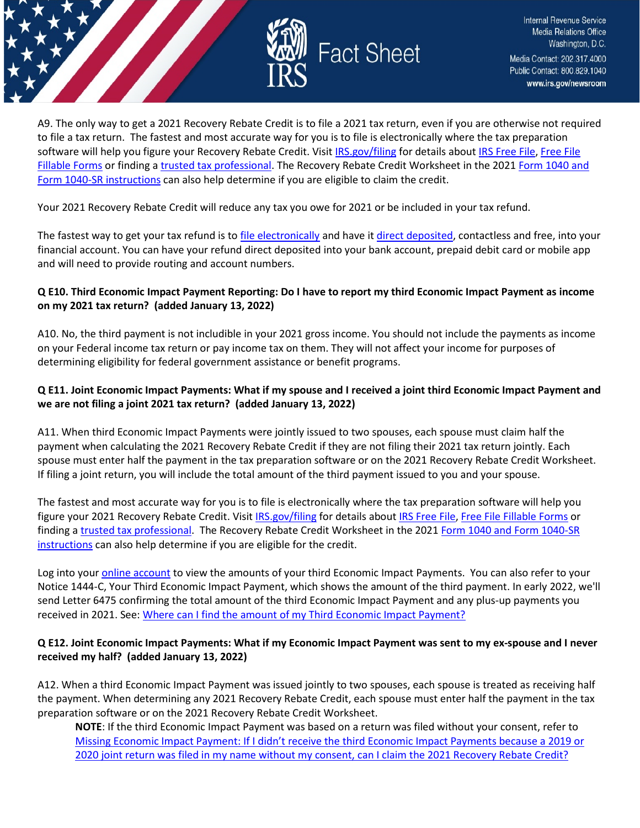

A9. The only way to get a 2021 Recovery Rebate Credit is to file a 2021 tax return, even if you are otherwise not required to file a tax return. The fastest and most accurate way for you is to file is electronically where the tax preparation software will help you figure your Recovery Rebate Credit. Visi[t IRS.gov/filing](https://www.irs.gov/filing) for details about [IRS Free File,](https://www.irs.gov/filing/free-file-do-your-federal-taxes-for-free) Free File [Fillable Forms](https://www.irs.gov/e-file-providers/free-file-fillable-forms) or finding [a trusted tax professional.](https://www.irs.gov/tax-professionals/choosing-a-tax-professional) The Recovery Rebate Credit Worksheet in the 2021 Form 1040 and [Form 1040-SR instructions](https://www.irs.gov/forms-pubs/about-form-1040) can also help determine if you are eligible to claim the credit.

Your 2021 Recovery Rebate Credit will reduce any tax you owe for 2021 or be included in your tax refund.

The fastest way to get your tax refund is to [file electronically](https://www.irs.gov/filing/e-file-options) and have i[t direct deposited,](https://www.irs.gov/refunds/get-your-refund-faster-tell-irs-to-direct-deposit-your-refund-to-one-two-or-three-accounts) contactless and free, into your financial account. You can have your refund direct deposited into your bank account, prepaid debit card or mobile app and will need to provide routing and account numbers.

### **Q E10. Third Economic Impact Payment Reporting: Do I have to report my third Economic Impact Payment as income on my 2021 tax return? (added January 13, 2022)**

A10. No, the third payment is not includible in your 2021 gross income. You should not include the payments as income on your Federal income tax return or pay income tax on them. They will not affect your income for purposes of determining eligibility for federal government assistance or benefit programs.

### **Q E11. Joint Economic Impact Payments: What if my spouse and I received a joint third Economic Impact Payment and we are not filing a joint 2021 tax return? (added January 13, 2022)**

A11. When third Economic Impact Payments were jointly issued to two spouses, each spouse must claim half the payment when calculating the 2021 Recovery Rebate Credit if they are not filing their 2021 tax return jointly. Each spouse must enter half the payment in the tax preparation software or on the 2021 Recovery Rebate Credit Worksheet. If filing a joint return, you will include the total amount of the third payment issued to you and your spouse.

The fastest and most accurate way for you is to file is electronically where the tax preparation software will help you figure your 2021 Recovery Rebate Credit. Visit [IRS.gov/filing](https://www.irs.gov/filing) for details abou[t IRS Free File,](https://www.irs.gov/filing/free-file-do-your-federal-taxes-for-free) [Free File Fillable Forms](https://www.irs.gov/e-file-providers/free-file-fillable-forms) or finding a [trusted tax professional.](https://www.irs.gov/tax-professionals/choosing-a-tax-professional) The Recovery Rebate Credit Worksheet in the 2021 [Form 1040 and Form 1040-SR](https://www.irs.gov/forms-pubs/about-form-1040)  [instructions](https://www.irs.gov/forms-pubs/about-form-1040) can also help determine if you are eligible for the credit.

Log into your [online account](https://www.irs.gov/payments/your-online-account) to view the amounts of your third Economic Impact Payments. You can also refer to your Notice 1444-C, Your Third Economic Impact Payment, which shows the amount of the third payment. In early 2022, we'll send Letter 6475 confirming the total amount of the third Economic Impact Payment and any plus-up payments you received in 2021. See: [Where can I find the amount of my Third Economic Impact Payment?](https://www.irs.gov/newsroom/2021-recovery-rebate-credit-topic-d-claiming-the-2021-recovery-rebate-credit#q6) 

#### **Q E12. Joint Economic Impact Payments: What if my Economic Impact Payment was sent to my ex-spouse and I never received my half? (added January 13, 2022)**

A12. When a third Economic Impact Payment was issued jointly to two spouses, each spouse is treated as receiving half the payment. When determining any 2021 Recovery Rebate Credit, each spouse must enter half the payment in the tax preparation software or on the 2021 Recovery Rebate Credit Worksheet.

**NOTE**: If the third Economic Impact Payment was based on a return was filed without your consent, refer to [Missing Economic Impact Payment: If I didn't receive the third Economic Impact Payments because a 2019 or](file:///C:%5CUsers%5CV0HBB%5CAppData%5CLocal%5CMicrosoft%5CWindows%5CINetCache%5CContent.Outlook%5CVOS5EG3Y%5CMissing%20Economic%20Impact%20Payment:%20If%20I%20didn)  [2020 joint return was filed in my name without my consent, can I claim the 2021 Recovery Rebate Credit?](file:///C:%5CUsers%5CV0HBB%5CAppData%5CLocal%5CMicrosoft%5CWindows%5CINetCache%5CContent.Outlook%5CVOS5EG3Y%5CMissing%20Economic%20Impact%20Payment:%20If%20I%20didn)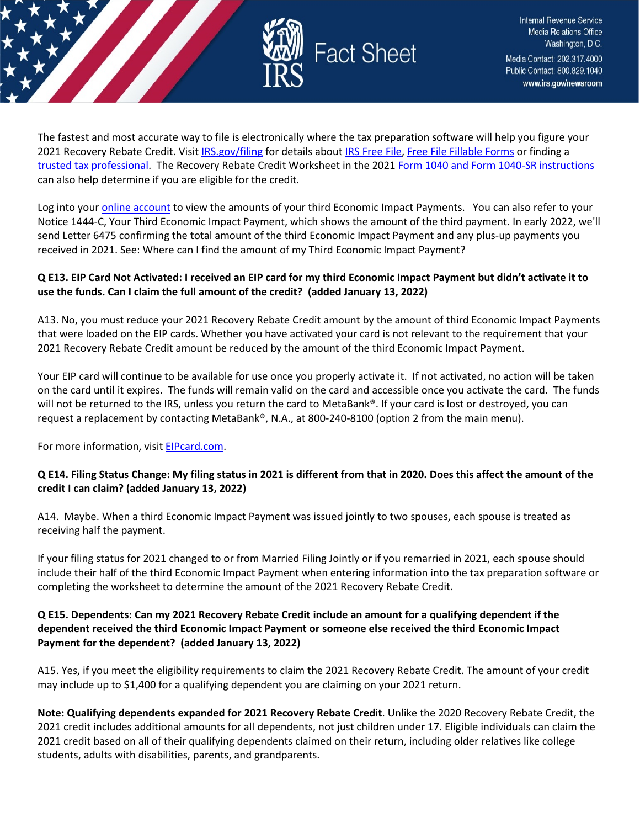

The fastest and most accurate way to file is electronically where the tax preparation software will help you figure your 2021 Recovery Rebate Credit. Visit [IRS.gov/filing](https://www.irs.gov/filing) for details about [IRS Free File,](https://www.irs.gov/filing/free-file-do-your-federal-taxes-for-free) [Free File Fillable Forms](https://www.irs.gov/e-file-providers/free-file-fillable-forms) or finding a [trusted tax professional.](https://www.irs.gov/tax-professionals/choosing-a-tax-professional) The Recovery Rebate Credit Worksheet in the 2021 [Form 1040 and Form 1040-SR instructions](https://www.irs.gov/forms-pubs/about-form-1040) can also help determine if you are eligible for the credit.

Log into your [online account](https://www.irs.gov/payments/your-online-account) to view the amounts of your third Economic Impact Payments. You can also refer to your Notice 1444-C, Your Third Economic Impact Payment, which shows the amount of the third payment. In early 2022, we'll send Letter 6475 confirming the total amount of the third Economic Impact Payment and any plus-up payments you received in 2021. See: Where can I find the amount of my Third Economic Impact Payment?

## **Q E13. EIP Card Not Activated: I received an EIP card for my third Economic Impact Payment but didn't activate it to use the funds. Can I claim the full amount of the credit? (added January 13, 2022)**

A13. No, you must reduce your 2021 Recovery Rebate Credit amount by the amount of third Economic Impact Payments that were loaded on the EIP cards. Whether you have activated your card is not relevant to the requirement that your 2021 Recovery Rebate Credit amount be reduced by the amount of the third Economic Impact Payment.

Your EIP card will continue to be available for use once you properly activate it. If not activated, no action will be taken on the card until it expires. The funds will remain valid on the card and accessible once you activate the card. The funds will not be returned to the IRS, unless you return the card to MetaBank®. If your card is lost or destroyed, you can request a replacement by contacting MetaBank®, N.A., at 800-240-8100 (option 2 from the main menu).

For more information, visi[t EIPcard.com.](https://www.eipcard.com/)

#### **Q E14. Filing Status Change: My filing status in 2021 is different from that in 2020. Does this affect the amount of the credit I can claim? (added January 13, 2022)**

A14. Maybe. When a third Economic Impact Payment was issued jointly to two spouses, each spouse is treated as receiving half the payment.

If your filing status for 2021 changed to or from Married Filing Jointly or if you remarried in 2021, each spouse should include their half of the third Economic Impact Payment when entering information into the tax preparation software or completing the worksheet to determine the amount of the 2021 Recovery Rebate Credit.

#### **Q E15. Dependents: Can my 2021 Recovery Rebate Credit include an amount for a qualifying dependent if the dependent received the third Economic Impact Payment or someone else received the third Economic Impact Payment for the dependent? (added January 13, 2022)**

A15. Yes, if you meet the eligibility requirements to claim the 2021 Recovery Rebate Credit. The amount of your credit may include up to \$1,400 for a qualifying dependent you are claiming on your 2021 return.

**Note: Qualifying dependents expanded for 2021 Recovery Rebate Credit**. Unlike the 2020 Recovery Rebate Credit, the 2021 credit includes additional amounts for all dependents, not just children under 17. Eligible individuals can claim the 2021 credit based on all of their qualifying dependents claimed on their return, including older relatives like college students, adults with disabilities, parents, and grandparents.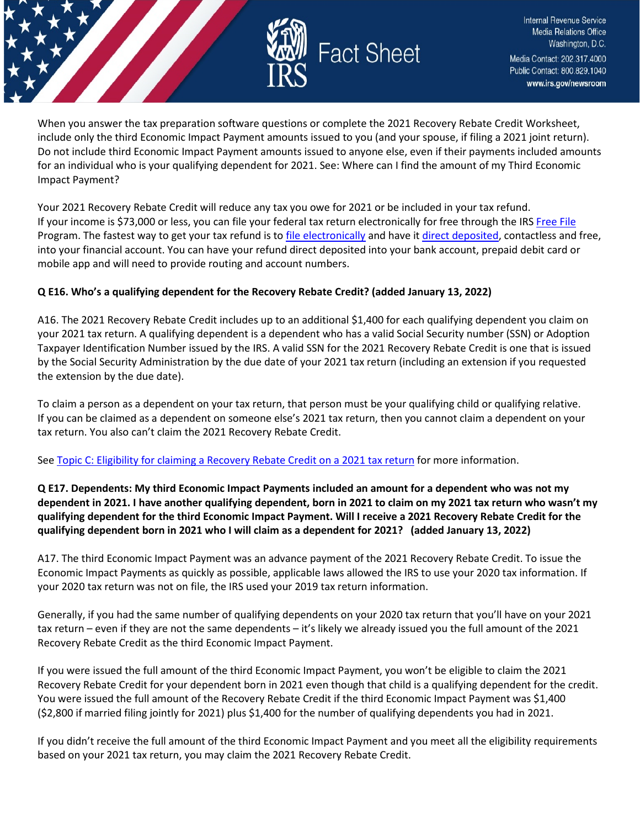

When you answer the tax preparation software questions or complete the 2021 Recovery Rebate Credit Worksheet, include only the third Economic Impact Payment amounts issued to you (and your spouse, if filing a 2021 joint return). Do not include third Economic Impact Payment amounts issued to anyone else, even if their payments included amounts for an individual who is your qualifying dependent for 2021. See: Where can I find the amount of my Third Economic Impact Payment?

Your 2021 Recovery Rebate Credit will reduce any tax you owe for 2021 or be included in your tax refund. If your income is \$73,000 or less, you can file your federal tax return electronically for free through the IRS [Free File](https://www.irs.gov/filing/free-file-do-your-federal-taxes-for-free) Program. The fastest way to get your tax refund is t[o file electronically](https://www.irs.gov/filing/e-file-options) and have it [direct deposited,](https://www.irs.gov/refunds/get-your-refund-faster-tell-irs-to-direct-deposit-your-refund-to-one-two-or-three-accounts) contactless and free, into your financial account. You can have your refund direct deposited into your bank account, prepaid debit card or mobile app and will need to provide routing and account numbers.

#### **Q E16. Who's a qualifying dependent for the Recovery Rebate Credit? (added January 13, 2022)**

A16. The 2021 Recovery Rebate Credit includes up to an additional \$1,400 for each qualifying dependent you claim on your 2021 tax return. A qualifying dependent is a dependent who has a valid Social Security number (SSN) or Adoption Taxpayer Identification Number issued by the IRS. A valid SSN for the 2021 Recovery Rebate Credit is one that is issued by the Social Security Administration by the due date of your 2021 tax return (including an extension if you requested the extension by the due date).

To claim a person as a dependent on your tax return, that person must be your qualifying child or qualifying relative. If you can be claimed as a dependent on someone else's 2021 tax return, then you cannot claim a dependent on your tax return. You also can't claim the 2021 Recovery Rebate Credit.

Se[e Topic C: Eligibility for claiming a Recovery Rebate Credit on a 2021 tax return](https://www.irs.gov/newsroom/2021-recovery-rebate-credit-topic-c-eligibility-for-claiming-a-recovery-rebate-credit-on-a-2021-tax-return) for more information.

**Q E17. Dependents: My third Economic Impact Payments included an amount for a dependent who was not my dependent in 2021. I have another qualifying dependent, born in 2021 to claim on my 2021 tax return who wasn't my qualifying dependent for the third Economic Impact Payment. Will I receive a 2021 Recovery Rebate Credit for the qualifying dependent born in 2021 who I will claim as a dependent for 2021? (added January 13, 2022)**

A17. The third Economic Impact Payment was an advance payment of the 2021 Recovery Rebate Credit. To issue the Economic Impact Payments as quickly as possible, applicable laws allowed the IRS to use your 2020 tax information. If your 2020 tax return was not on file, the IRS used your 2019 tax return information.

Generally, if you had the same number of qualifying dependents on your 2020 tax return that you'll have on your 2021 tax return – even if they are not the same dependents – it's likely we already issued you the full amount of the 2021 Recovery Rebate Credit as the third Economic Impact Payment.

If you were issued the full amount of the third Economic Impact Payment, you won't be eligible to claim the 2021 Recovery Rebate Credit for your dependent born in 2021 even though that child is a qualifying dependent for the credit. You were issued the full amount of the Recovery Rebate Credit if the third Economic Impact Payment was \$1,400 (\$2,800 if married filing jointly for 2021) plus \$1,400 for the number of qualifying dependents you had in 2021.

If you didn't receive the full amount of the third Economic Impact Payment and you meet all the eligibility requirements based on your 2021 tax return, you may claim the 2021 Recovery Rebate Credit.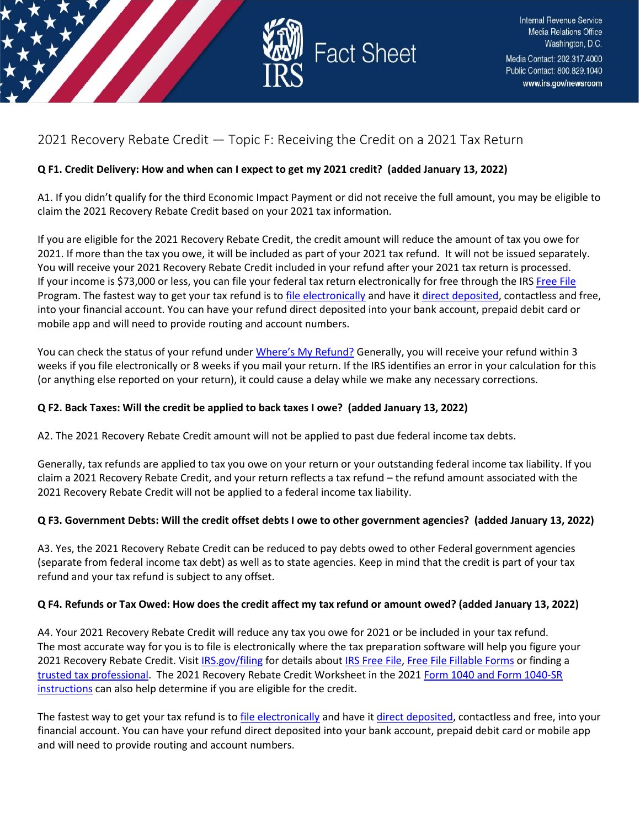

## <span id="page-22-0"></span>2021 Recovery Rebate Credit — Topic F: Receiving the Credit on a 2021 Tax Return

## **Q F1. Credit Delivery: How and when can I expect to get my 2021 credit? (added January 13, 2022)**

A1. If you didn't qualify for the third Economic Impact Payment or did not receive the full amount, you may be eligible to claim the 2021 Recovery Rebate Credit based on your 2021 tax information.

If you are eligible for the 2021 Recovery Rebate Credit, the credit amount will reduce the amount of tax you owe for 2021. If more than the tax you owe, it will be included as part of your 2021 tax refund. It will not be issued separately. You will receive your 2021 Recovery Rebate Credit included in your refund after your 2021 tax return is processed. If your income is \$73,000 or less, you can file your federal tax return electronically for free through the IRS [Free File](https://www.irs.gov/filing/free-file-do-your-federal-taxes-for-free) Program. The fastest way to get your tax refund is t[o file electronically](https://www.irs.gov/filing/e-file-options) and have it [direct deposited,](https://www.irs.gov/refunds/get-your-refund-faster-tell-irs-to-direct-deposit-your-refund-to-one-two-or-three-accounts) contactless and free, into your financial account. You can have your refund direct deposited into your bank account, prepaid debit card or mobile app and will need to provide routing and account numbers.

You can check the status of your refund unde[r Where's My Refund?](https://www.irs.gov/refunds) Generally, you will receive your refund within 3 weeks if you file electronically or 8 weeks if you mail your return. If the IRS identifies an error in your calculation for this (or anything else reported on your return), it could cause a delay while we make any necessary corrections.

## **Q F2. Back Taxes: Will the credit be applied to back taxes I owe? (added January 13, 2022)**

A2. The 2021 Recovery Rebate Credit amount will not be applied to past due federal income tax debts.

Generally, tax refunds are applied to tax you owe on your return or your outstanding federal income tax liability. If you claim a 2021 Recovery Rebate Credit, and your return reflects a tax refund – the refund amount associated with the 2021 Recovery Rebate Credit will not be applied to a federal income tax liability.

## **Q F3. Government Debts: Will the credit offset debts I owe to other government agencies? (added January 13, 2022)**

A3. Yes, the 2021 Recovery Rebate Credit can be reduced to pay debts owed to other Federal government agencies (separate from federal income tax debt) as well as to state agencies. Keep in mind that the credit is part of your tax refund and your tax refund is subject to any offset.

## **Q F4. Refunds or Tax Owed: How does the credit affect my tax refund or amount owed? (added January 13, 2022)**

A4. Your 2021 Recovery Rebate Credit will reduce any tax you owe for 2021 or be included in your tax refund. The most accurate way for you is to file is electronically where the tax preparation software will help you figure your 2021 Recovery Rebate Credit. Visit [IRS.gov/filing](https://www.irs.gov/filing) for details about [IRS Free File,](https://www.irs.gov/filing/free-file-do-your-federal-taxes-for-free) [Free File Fillable Forms](https://www.irs.gov/e-file-providers/free-file-fillable-forms) or finding a [trusted tax professional.](https://www.irs.gov/tax-professionals/choosing-a-tax-professional) The 2021 Recovery Rebate Credit Worksheet in the 202[1 Form 1040 and Form 1040-SR](https://www.irs.gov/forms-pubs/about-form-1040)  [instructions](https://www.irs.gov/forms-pubs/about-form-1040) can also help determine if you are eligible for the credit.

The fastest way to get your tax refund is to [file electronically](https://www.irs.gov/filing/e-file-options) and have i[t direct deposited,](https://www.irs.gov/refunds/get-your-refund-faster-tell-irs-to-direct-deposit-your-refund-to-one-two-or-three-accounts) contactless and free, into your financial account. You can have your refund direct deposited into your bank account, prepaid debit card or mobile app and will need to provide routing and account numbers.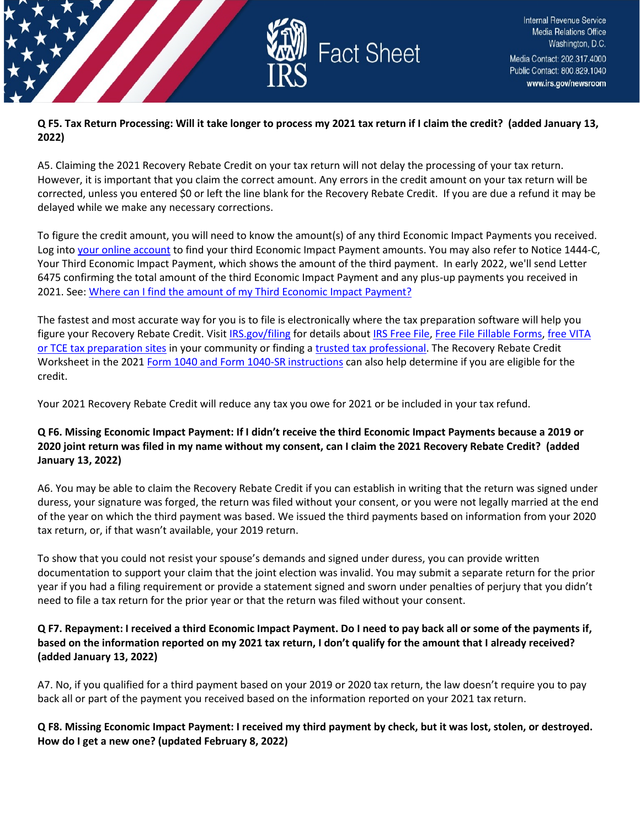

#### **Q F5. Tax Return Processing: Will it take longer to process my 2021 tax return if I claim the credit? (added January 13, 2022)**

A5. Claiming the 2021 Recovery Rebate Credit on your tax return will not delay the processing of your tax return. However, it is important that you claim the correct amount. Any errors in the credit amount on your tax return will be corrected, unless you entered \$0 or left the line blank for the Recovery Rebate Credit. If you are due a refund it may be delayed while we make any necessary corrections.

To figure the credit amount, you will need to know the amount(s) of any third Economic Impact Payments you received. Log into [your online account](https://www.irs.gov/payments/your-online-account) to find your third Economic Impact Payment amounts. You may also refer to Notice 1444-C, Your Third Economic Impact Payment, which shows the amount of the third payment. In early 2022, we'll send Letter 6475 confirming the total amount of the third Economic Impact Payment and any plus-up payments you received in 2021. See: [Where can I find the amount of my Third Economic Impact Payment?](https://www.irs.gov/newsroom/2021-recovery-rebate-credit-topic-g-finding-the-third-economic-impact-payment-amount-to-calculate-the-2021-recovery-rebate-credit#q2) 

The fastest and most accurate way for you is to file is electronically where the tax preparation software will help you figure your Recovery Rebate Credit. Visi[t IRS.gov/filing](https://www.irs.gov/filing) for details about [IRS Free File,](https://www.irs.gov/filing/free-file-do-your-federal-taxes-for-free) [Free File Fillable Forms,](https://www.irs.gov/e-file-providers/free-file-fillable-forms) [free VITA](https://www.irs.gov/node/9295)  [or TCE tax preparation sites](https://www.irs.gov/node/9295) in your community or finding a [trusted tax professional.](https://www.irs.gov/tax-professionals/choosing-a-tax-professional) The Recovery Rebate Credit Worksheet in the 202[1 Form 1040 and Form 1040-SR instructions](https://www.irs.gov/forms-pubs/about-form-1040) can also help determine if you are eligible for the credit.

Your 2021 Recovery Rebate Credit will reduce any tax you owe for 2021 or be included in your tax refund.

## **Q F6. Missing Economic Impact Payment: If I didn't receive the third Economic Impact Payments because a 2019 or 2020 joint return was filed in my name without my consent, can I claim the 2021 Recovery Rebate Credit? (added January 13, 2022)**

A6. You may be able to claim the Recovery Rebate Credit if you can establish in writing that the return was signed under duress, your signature was forged, the return was filed without your consent, or you were not legally married at the end of the year on which the third payment was based. We issued the third payments based on information from your 2020 tax return, or, if that wasn't available, your 2019 return.

To show that you could not resist your spouse's demands and signed under duress, you can provide written documentation to support your claim that the joint election was invalid. You may submit a separate return for the prior year if you had a filing requirement or provide a statement signed and sworn under penalties of perjury that you didn't need to file a tax return for the prior year or that the return was filed without your consent.

## **Q F7. Repayment: I received a third Economic Impact Payment. Do I need to pay back all or some of the payments if, based on the information reported on my 2021 tax return, I don't qualify for the amount that I already received? (added January 13, 2022)**

A7. No, if you qualified for a third payment based on your 2019 or 2020 tax return, the law doesn't require you to pay back all or part of the payment you received based on the information reported on your 2021 tax return.

## **Q F8. Missing Economic Impact Payment: I received my third payment by check, but it was lost, stolen, or destroyed. How do I get a new one? (updated February 8, 2022)**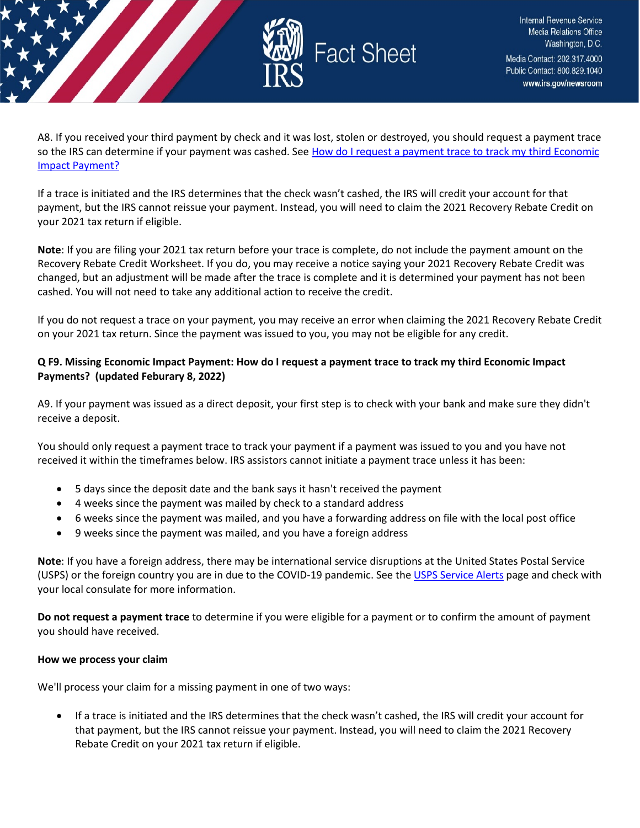

A8. If you received your third payment by check and it was lost, stolen or destroyed, you should request a payment trace so the IRS can determine if your payment was cashed. See How do I request a payment trace to track my third Economic [Impact Payment?](https://www.irs.gov/newsroom/questions-and-answers-about-the-third-economic-impact-payment-topic-j-payment-issued-but-lost-stolen-destroyed-or-not-received#howdoitrack)

If a trace is initiated and the IRS determines that the check wasn't cashed, the IRS will credit your account for that payment, but the IRS cannot reissue your payment. Instead, you will need to claim the 2021 Recovery Rebate Credit on your 2021 tax return if eligible.

**Note**: If you are filing your 2021 tax return before your trace is complete, do not include the payment amount on the Recovery Rebate Credit Worksheet. If you do, you may receive a notice saying your 2021 Recovery Rebate Credit was changed, but an adjustment will be made after the trace is complete and it is determined your payment has not been cashed. You will not need to take any additional action to receive the credit.

If you do not request a trace on your payment, you may receive an error when claiming the 2021 Recovery Rebate Credit on your 2021 tax return. Since the payment was issued to you, you may not be eligible for any credit.

### **Q F9. Missing Economic Impact Payment: How do I request a payment trace to track my third Economic Impact Payments? (updated Feburary 8, 2022)**

A9. If your payment was issued as a direct deposit, your first step is to check with your bank and make sure they didn't receive a deposit.

You should only request a payment trace to track your payment if a payment was issued to you and you have not received it within the timeframes below. IRS assistors cannot initiate a payment trace unless it has been:

- 5 days since the deposit date and the bank says it hasn't received the payment
- 4 weeks since the payment was mailed by check to a standard address
- 6 weeks since the payment was mailed, and you have a forwarding address on file with the local post office
- 9 weeks since the payment was mailed, and you have a foreign address

**Note**: If you have a foreign address, there may be international service disruptions at the United States Postal Service (USPS) or the foreign country you are in due to the COVID-19 pandemic. See the [USPS Service Alerts](https://about.usps.com/newsroom/service-alerts/) page and check with your local consulate for more information.

**Do not request a payment trace** to determine if you were eligible for a payment or to confirm the amount of payment you should have received.

#### **How we process your claim**

We'll process your claim for a missing payment in one of two ways:

• If a trace is initiated and the IRS determines that the check wasn't cashed, the IRS will credit your account for that payment, but the IRS cannot reissue your payment. Instead, you will need to claim the 2021 Recovery Rebate Credit on your 2021 tax return if eligible.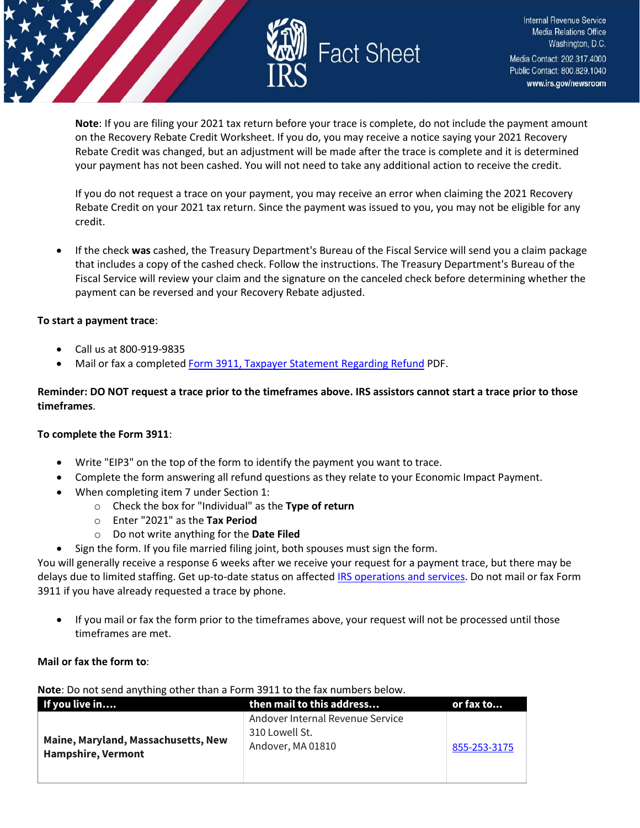

**Note**: If you are filing your 2021 tax return before your trace is complete, do not include the payment amount on the Recovery Rebate Credit Worksheet. If you do, you may receive a notice saying your 2021 Recovery Rebate Credit was changed, but an adjustment will be made after the trace is complete and it is determined your payment has not been cashed. You will not need to take any additional action to receive the credit.

If you do not request a trace on your payment, you may receive an error when claiming the 2021 Recovery Rebate Credit on your 2021 tax return. Since the payment was issued to you, you may not be eligible for any credit.

• If the check **was** cashed, the Treasury Department's Bureau of the Fiscal Service will send you a claim package that includes a copy of the cashed check. Follow the instructions. The Treasury Department's Bureau of the Fiscal Service will review your claim and the signature on the canceled check before determining whether the payment can be reversed and your Recovery Rebate adjusted.

#### **To start a payment trace**:

- Call us at 800-919-9835
- Mail or fax a complete[d Form 3911, Taxpayer Statement Regarding Refund](https://www.irs.gov/pub/irs-pdf/f3911.pdf) PDF.

#### **Reminder: DO NOT request a trace prior to the timeframes above. IRS assistors cannot start a trace prior to those timeframes**.

#### **To complete the Form 3911**:

- Write "EIP3" on the top of the form to identify the payment you want to trace.
- Complete the form answering all refund questions as they relate to your Economic Impact Payment.
- When completing item 7 under Section 1:
	- o Check the box for "Individual" as the **Type of return**
	- o Enter "2021" as the **Tax Period**
	- o Do not write anything for the **Date Filed**
	- Sign the form. If you file married filing joint, both spouses must sign the form.

You will generally receive a response 6 weeks after we receive your request for a payment trace, but there may be delays due to limited staffing. Get up-to-date status on affected [IRS operations and services.](https://www.irs.gov/newsroom/irs-operations-during-covid-19-mission-critical-functions-continue) Do not mail or fax Form 3911 if you have already requested a trace by phone.

• If you mail or fax the form prior to the timeframes above, your request will not be processed until those timeframes are met.

#### **Mail or fax the form to**:

**Note**: Do not send anything other than a Form 3911 to the fax numbers below.

| If you live in                                                   | then mail to this address                                               | or fax to    |
|------------------------------------------------------------------|-------------------------------------------------------------------------|--------------|
| Maine, Maryland, Massachusetts, New<br><b>Hampshire, Vermont</b> | Andover Internal Revenue Service<br>310 Lowell St.<br>Andover, MA 01810 | 855-253-3175 |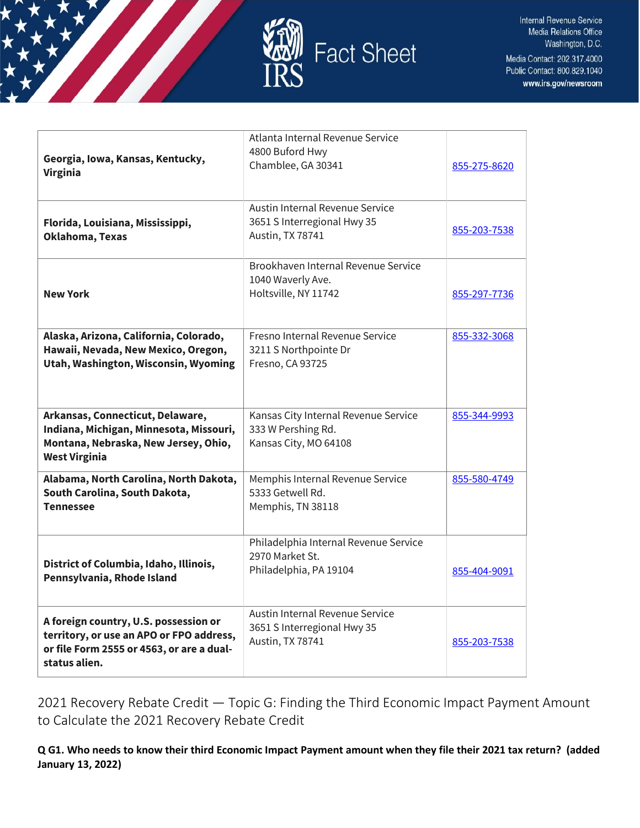

| Georgia, Iowa, Kansas, Kentucky,<br><b>Virginia</b>                                                                                             | Atlanta Internal Revenue Service<br>4800 Buford Hwy<br>Chamblee, GA 30341           | 855-275-8620 |
|-------------------------------------------------------------------------------------------------------------------------------------------------|-------------------------------------------------------------------------------------|--------------|
| Florida, Louisiana, Mississippi,<br>Oklahoma, Texas                                                                                             | Austin Internal Revenue Service<br>3651 S Interregional Hwy 35<br>Austin, TX 78741  | 855-203-7538 |
| <b>New York</b>                                                                                                                                 | Brookhaven Internal Revenue Service<br>1040 Waverly Ave.<br>Holtsville, NY 11742    | 855-297-7736 |
| Alaska, Arizona, California, Colorado,<br>Hawaii, Nevada, New Mexico, Oregon,<br>Utah, Washington, Wisconsin, Wyoming                           | Fresno Internal Revenue Service<br>3211 S Northpointe Dr<br>Fresno, CA 93725        | 855-332-3068 |
| Arkansas, Connecticut, Delaware,<br>Indiana, Michigan, Minnesota, Missouri,<br>Montana, Nebraska, New Jersey, Ohio,<br><b>West Virginia</b>     | Kansas City Internal Revenue Service<br>333 W Pershing Rd.<br>Kansas City, MO 64108 | 855-344-9993 |
| Alabama, North Carolina, North Dakota,<br>South Carolina, South Dakota,<br><b>Tennessee</b>                                                     | Memphis Internal Revenue Service<br>5333 Getwell Rd.<br>Memphis, TN 38118           | 855-580-4749 |
| District of Columbia, Idaho, Illinois,<br>Pennsylvania, Rhode Island                                                                            | Philadelphia Internal Revenue Service<br>2970 Market St.<br>Philadelphia, PA 19104  | 855-404-9091 |
| A foreign country, U.S. possession or<br>territory, or use an APO or FPO address,<br>or file Form 2555 or 4563, or are a dual-<br>status alien. | Austin Internal Revenue Service<br>3651 S Interregional Hwy 35<br>Austin, TX 78741  | 855-203-7538 |

<span id="page-26-0"></span>2021 Recovery Rebate Credit — Topic G: Finding the Third Economic Impact Payment Amount to Calculate the 2021 Recovery Rebate Credit

**Q G1. Who needs to know their third Economic Impact Payment amount when they file their 2021 tax return? (added January 13, 2022)**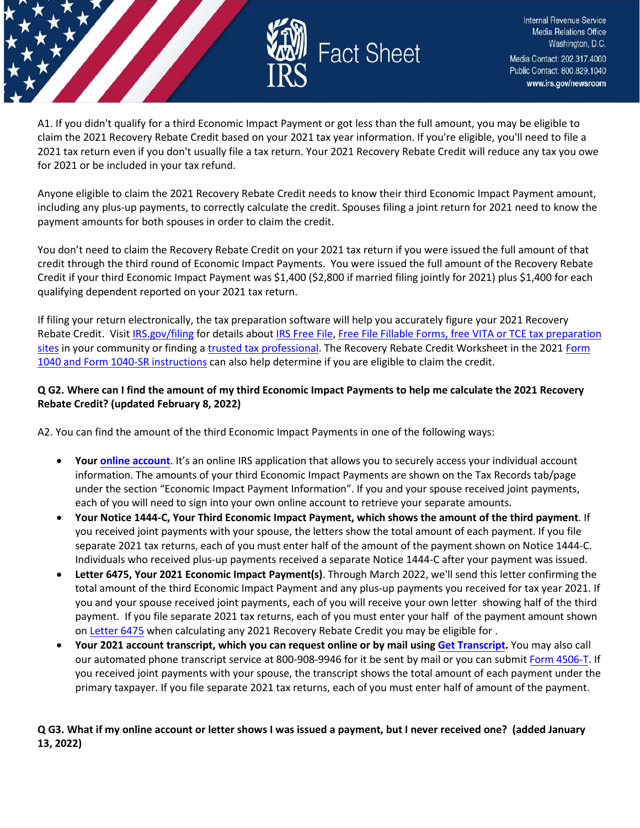

A1. If you didn't qualify for a third Economic Impact Payment or got less than the full amount, you may be eligible to claim the 2021 Recovery Rebate Credit based on your 2021 tax year information. If you're eligible, you'll need to file a 2021 tax return even if you don't usually file a tax return. Your 2021 Recovery Rebate Credit will reduce any tax you owe for 2021 or be included in your tax refund.

Anyone eligible to claim the 2021 Recovery Rebate Credit needs to know their third Economic Impact Payment amount, including any plus-up payments, to correctly calculate the credit. Spouses filing a joint return for 2021 need to know the payment amounts for both spouses in order to claim the credit.

You don't need to claim the Recovery Rebate Credit on your 2021 tax return if you were issued the full amount of that credit through the third round of Economic Impact Payments. You were issued the full amount of the Recovery Rebate Credit if your third Economic Impact Payment was \$1,400 (\$2,800 if married filing jointly for 2021) plus \$1,400 for each qualifying dependent reported on your 2021 tax return.

If filing your return electronically, the tax preparation software will help you accurately figure your 2021 Recovery Rebate Credit. Visit [IRS.gov/filing](https://www.irs.gov/filing) for details about [IRS Free File,](https://www.irs.gov/filing/free-file-do-your-federal-taxes-for-free) [Free File Fillable Forms](https://www.irs.gov/e-file-providers/free-file-fillable-forms), free VITA or TCE tax preparation [sites](https://www.irs.gov/individuals/irs-free-tax-return-preparation-programs) in your community or finding a [trusted tax professional.](https://www.irs.gov/tax-professionals/choosing-a-tax-professional) The Recovery Rebate Credit Worksheet in the 2021 Form [1040 and Form 1040-SR instructions](https://www.irs.gov/forms-pubs/about-form-1040) can also help determine if you are eligible to claim the credit.

### **Q G2. Where can I find the amount of my third Economic Impact Payments to help me calculate the 2021 Recovery Rebate Credit? (updated February 8, 2022)**

A2. You can find the amount of the third Economic Impact Payments in one of the following ways:

- **Your [online account](https://www.irs.gov/payments/your-online-account)**. It's an online IRS application that allows you to securely access your individual account information. The amounts of your third Economic Impact Payments are shown on the Tax Records tab/page under the section "Economic Impact Payment Information". If you and your spouse received joint payments, each of you will need to sign into your own online account to retrieve your separate amounts.
- **Your Notice 1444-C, Your Third Economic Impact Payment, which shows the amount of the third payment**. If you received joint payments with your spouse, the letters show the total amount of each payment. If you file separate 2021 tax returns, each of you must enter half of the amount of the payment shown on Notice 1444-C. Individuals who received plus-up payments received a separate Notice 1444-C after your payment was issued.
- **Letter 6475, Your 2021 Economic Impact Payment(s)**. Through March 2022, we'll send this letter confirming the total amount of the third Economic Impact Payment and any plus-up payments you received for tax year 2021. If you and your spouse received joint payments, each of you will receive your own letter showing half of the third payment. If you file separate 2021 tax returns, each of you must enter your half of the payment amount shown on [Letter 6475](https://www.irs.gov/individuals/understanding-your-letter-6475) when calculating any 2021 Recovery Rebate Credit you may be eligible for .
- **Your 2021 account transcript, which you can request online or by mail using [Get Transcript.](https://www.irs.gov/individuals/get-transcript)** You may also call our automated phone transcript service at 800-908-9946 for it be sent by mail or you can submit [Form 4506-T.](https://www.irs.gov/forms-pubs/about-form-4506-t) If you received joint payments with your spouse, the transcript shows the total amount of each payment under the primary taxpayer. If you file separate 2021 tax returns, each of you must enter half of amount of the payment.

## **Q G3. What if my online account or letter shows I was issued a payment, but I never received one? (added January 13, 2022)**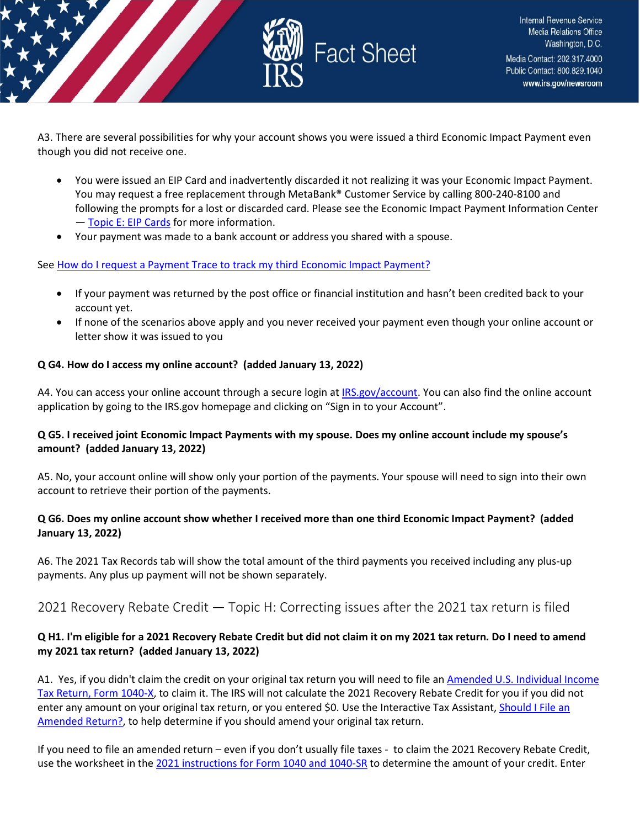

A3. There are several possibilities for why your account shows you were issued a third Economic Impact Payment even though you did not receive one.

- You were issued an EIP Card and inadvertently discarded it not realizing it was your Economic Impact Payment. You may request a free replacement through MetaBank® Customer Service by calling 800-240-8100 and following the prompts for a lost or discarded card. Please see the Economic Impact Payment Information Center — [Topic E: EIP Cards](https://www.irs.gov/newsroom/questions-and-answers-about-the-first-economic-impact-payment-topic-e-eip-cards) for more information.
- Your payment was made to a bank account or address you shared with a spouse.

#### Se[e How do I request a Payment Trace to track my third Economic Impact Payment?](https://www.irs.gov/newsroom/questions-and-answers-about-the-third-economic-impact-payment-topic-j-payment-issued-but-lost-stolen-destroyed-or-not-received)

- If your payment was returned by the post office or financial institution and hasn't been credited back to your account yet.
- If none of the scenarios above apply and you never received your payment even though your online account or letter show it was issued to you

#### **Q G4. How do I access my online account? (added January 13, 2022)**

A4. You can access your online account through a secure login at [IRS.gov/account.](https://www.irs.gov/payments/your-online-account) You can also find the online account application by going to the IRS.gov homepage and clicking on "Sign in to your Account".

#### **Q G5. I received joint Economic Impact Payments with my spouse. Does my online account include my spouse's amount? (added January 13, 2022)**

A5. No, your account online will show only your portion of the payments. Your spouse will need to sign into their own account to retrieve their portion of the payments.

#### **Q G6. Does my online account show whether I received more than one third Economic Impact Payment? (added January 13, 2022)**

A6. The 2021 Tax Records tab will show the total amount of the third payments you received including any plus-up payments. Any plus up payment will not be shown separately.

## <span id="page-28-0"></span>2021 Recovery Rebate Credit — Topic H: Correcting issues after the 2021 tax return is filed

#### **Q H1. I'm eligible for a 2021 Recovery Rebate Credit but did not claim it on my 2021 tax return. Do I need to amend my 2021 tax return? (added January 13, 2022)**

A1. Yes, if you didn't claim the credit on your original tax return you will need to file an [Amended U.S. Individual Income](https://www.irs.gov/forms-pubs/about-form-1040x)  [Tax Return, Form 1040-X,](https://www.irs.gov/forms-pubs/about-form-1040x) to claim it. The IRS will not calculate the 2021 Recovery Rebate Credit for you if you did not enter any amount on your original tax return, or you entered \$0. Use the Interactive Tax Assistant, Should I File an [Amended Return?,](https://www.irs.gov/help/ita/should-i-file-an-amended-return) to help determine if you should amend your original tax return.

If you need to file an amended return – even if you don't usually file taxes - to claim the 2021 Recovery Rebate Credit, use the worksheet in the [2021 instructions for Form 1040 and 1040-SR](https://www.irs.gov/forms-pubs/about-form-1040) to determine the amount of your credit. Enter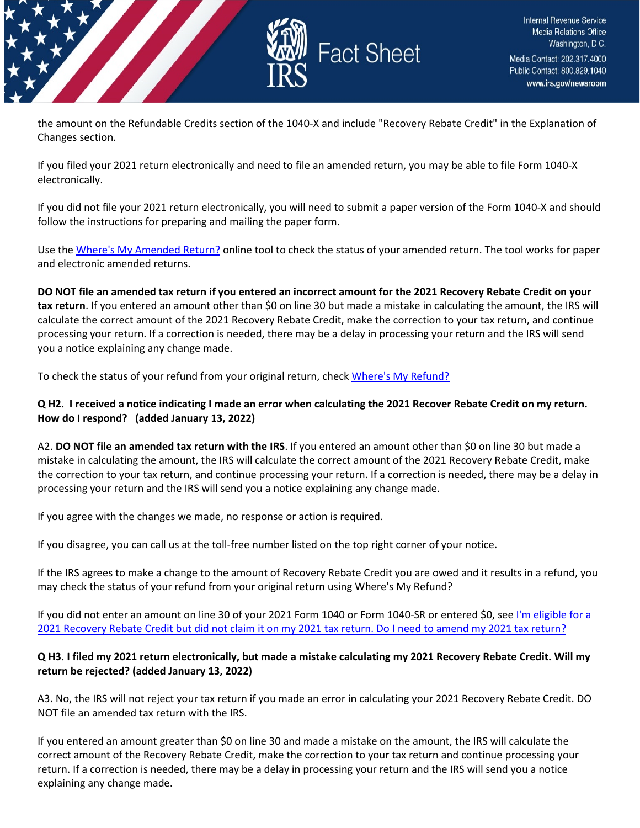

the amount on the Refundable Credits section of the 1040-X and include "Recovery Rebate Credit" in the Explanation of Changes section.

If you filed your 2021 return electronically and need to file an amended return, you may be able to file Form 1040-X electronically.

If you did not file your 2021 return electronically, you will need to submit a paper version of the Form 1040-X and should follow the instructions for preparing and mailing the paper form.

Use th[e Where's My Amended Return?](https://www.irs.gov/filing/wheres-my-amended-return) online tool to check the status of your amended return. The tool works for paper and electronic amended returns.

**DO NOT file an amended tax return if you entered an incorrect amount for the 2021 Recovery Rebate Credit on your tax return**. If you entered an amount other than \$0 on line 30 but made a mistake in calculating the amount, the IRS will calculate the correct amount of the 2021 Recovery Rebate Credit, make the correction to your tax return, and continue processing your return. If a correction is needed, there may be a delay in processing your return and the IRS will send you a notice explaining any change made.

To check the status of your refund from your original return, chec[k Where's My Refund?](https://www.irs.gov/refunds)

#### **Q H2. I received a notice indicating I made an error when calculating the 2021 Recover Rebate Credit on my return. How do I respond? (added January 13, 2022)**

A2. **DO NOT file an amended tax return with the IRS**. If you entered an amount other than \$0 on line 30 but made a mistake in calculating the amount, the IRS will calculate the correct amount of the 2021 Recovery Rebate Credit, make the correction to your tax return, and continue processing your return. If a correction is needed, there may be a delay in processing your return and the IRS will send you a notice explaining any change made.

If you agree with the changes we made, no response or action is required.

If you disagree, you can call us at the toll-free number listed on the top right corner of your notice.

If the IRS agrees to make a change to the amount of Recovery Rebate Credit you are owed and it results in a refund, you may check the status of your refund from your original return using Where's My Refund?

If you did not enter an amount on line 30 of your 2021 Form 1040 or Form 1040-SR or entered \$0, see I'm eligible for a [2021 Recovery Rebate Credit but did not claim it on my 2021 tax return. Do I need to amend my 2021 tax return?](https://www.irs.gov/newsroom/2021-recovery-rebate-credit-topic-h-correcting-issues-after-the-2021-tax-return-is-filed#q1)

#### **Q H3. I filed my 2021 return electronically, but made a mistake calculating my 2021 Recovery Rebate Credit. Will my return be rejected? (added January 13, 2022)**

A3. No, the IRS will not reject your tax return if you made an error in calculating your 2021 Recovery Rebate Credit. DO NOT file an amended tax return with the IRS.

If you entered an amount greater than \$0 on line 30 and made a mistake on the amount, the IRS will calculate the correct amount of the Recovery Rebate Credit, make the correction to your tax return and continue processing your return. If a correction is needed, there may be a delay in processing your return and the IRS will send you a notice explaining any change made.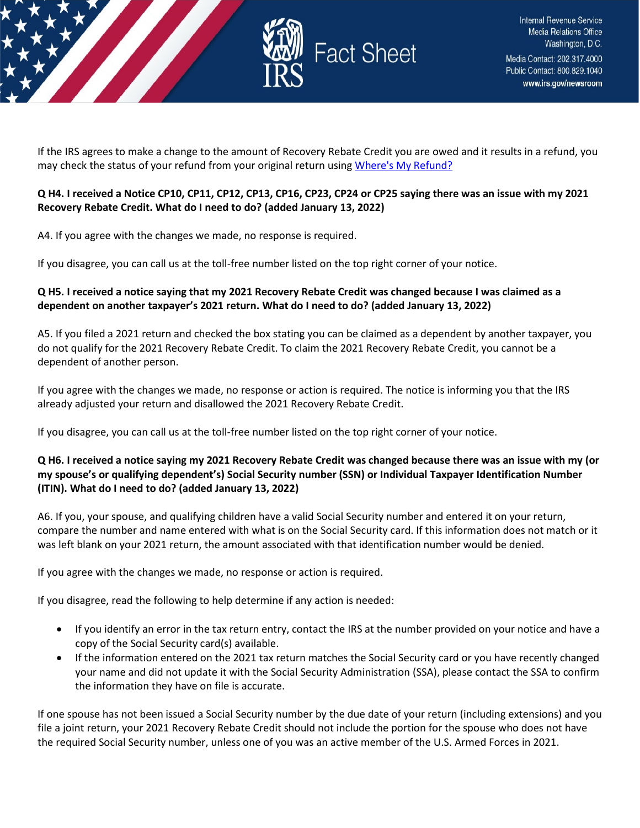

If the IRS agrees to make a change to the amount of Recovery Rebate Credit you are owed and it results in a refund, you may check the status of your refund from your original return usin[g Where's My Refund?](https://www.irs.gov/refunds)

## **Q H4. I received a Notice CP10, CP11, CP12, CP13, CP16, CP23, CP24 or CP25 saying there was an issue with my 2021 Recovery Rebate Credit. What do I need to do? (added January 13, 2022)**

A4. If you agree with the changes we made, no response is required.

If you disagree, you can call us at the toll-free number listed on the top right corner of your notice.

#### **Q H5. I received a notice saying that my 2021 Recovery Rebate Credit was changed because I was claimed as a dependent on another taxpayer's 2021 return. What do I need to do? (added January 13, 2022)**

A5. If you filed a 2021 return and checked the box stating you can be claimed as a dependent by another taxpayer, you do not qualify for the 2021 Recovery Rebate Credit. To claim the 2021 Recovery Rebate Credit, you cannot be a dependent of another person.

If you agree with the changes we made, no response or action is required. The notice is informing you that the IRS already adjusted your return and disallowed the 2021 Recovery Rebate Credit.

If you disagree, you can call us at the toll-free number listed on the top right corner of your notice.

## **Q H6. I received a notice saying my 2021 Recovery Rebate Credit was changed because there was an issue with my (or my spouse's or qualifying dependent's) Social Security number (SSN) or Individual Taxpayer Identification Number (ITIN). What do I need to do? (added January 13, 2022)**

A6. If you, your spouse, and qualifying children have a valid Social Security number and entered it on your return, compare the number and name entered with what is on the Social Security card. If this information does not match or it was left blank on your 2021 return, the amount associated with that identification number would be denied.

If you agree with the changes we made, no response or action is required.

If you disagree, read the following to help determine if any action is needed:

- If you identify an error in the tax return entry, contact the IRS at the number provided on your notice and have a copy of the Social Security card(s) available.
- If the information entered on the 2021 tax return matches the Social Security card or you have recently changed your name and did not update it with the Social Security Administration (SSA), please contact the SSA to confirm the information they have on file is accurate.

If one spouse has not been issued a Social Security number by the due date of your return (including extensions) and you file a joint return, your 2021 Recovery Rebate Credit should not include the portion for the spouse who does not have the required Social Security number, unless one of you was an active member of the U.S. Armed Forces in 2021.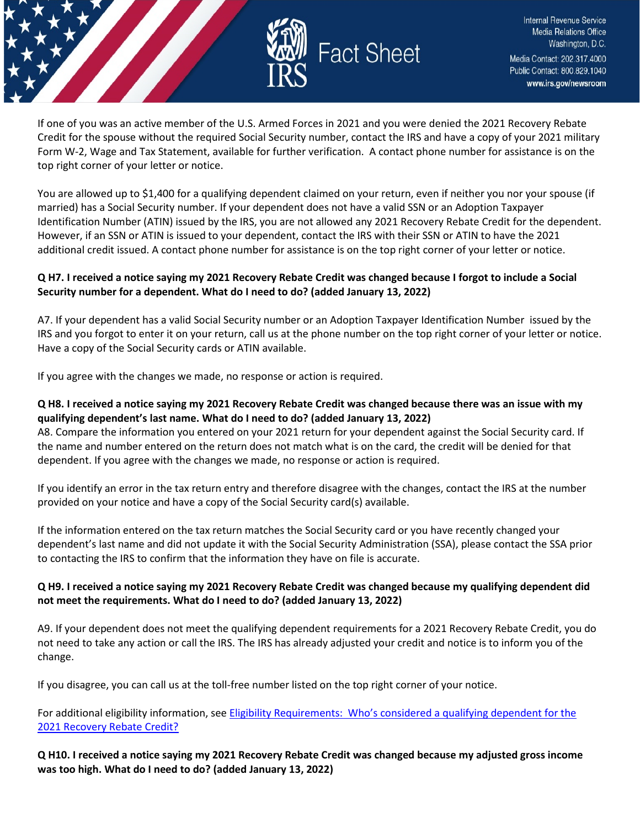

If one of you was an active member of the U.S. Armed Forces in 2021 and you were denied the 2021 Recovery Rebate Credit for the spouse without the required Social Security number, contact the IRS and have a copy of your 2021 military Form W-2, Wage and Tax Statement, available for further verification. A contact phone number for assistance is on the top right corner of your letter or notice.

You are allowed up to \$1,400 for a qualifying dependent claimed on your return, even if neither you nor your spouse (if married) has a Social Security number. If your dependent does not have a valid SSN or an Adoption Taxpayer Identification Number (ATIN) issued by the IRS, you are not allowed any 2021 Recovery Rebate Credit for the dependent. However, if an SSN or ATIN is issued to your dependent, contact the IRS with their SSN or ATIN to have the 2021 additional credit issued. A contact phone number for assistance is on the top right corner of your letter or notice.

## **Q H7. I received a notice saying my 2021 Recovery Rebate Credit was changed because I forgot to include a Social Security number for a dependent. What do I need to do? (added January 13, 2022)**

A7. If your dependent has a valid Social Security number or an Adoption Taxpayer Identification Number issued by the IRS and you forgot to enter it on your return, call us at the phone number on the top right corner of your letter or notice. Have a copy of the Social Security cards or ATIN available.

If you agree with the changes we made, no response or action is required.

#### **Q H8. I received a notice saying my 2021 Recovery Rebate Credit was changed because there was an issue with my qualifying dependent's last name. What do I need to do? (added January 13, 2022)**

A8. Compare the information you entered on your 2021 return for your dependent against the Social Security card. If the name and number entered on the return does not match what is on the card, the credit will be denied for that dependent. If you agree with the changes we made, no response or action is required.

If you identify an error in the tax return entry and therefore disagree with the changes, contact the IRS at the number provided on your notice and have a copy of the Social Security card(s) available.

If the information entered on the tax return matches the Social Security card or you have recently changed your dependent's last name and did not update it with the Social Security Administration (SSA), please contact the SSA prior to contacting the IRS to confirm that the information they have on file is accurate.

## **Q H9. I received a notice saying my 2021 Recovery Rebate Credit was changed because my qualifying dependent did not meet the requirements. What do I need to do? (added January 13, 2022)**

A9. If your dependent does not meet the qualifying dependent requirements for a 2021 Recovery Rebate Credit, you do not need to take any action or call the IRS. The IRS has already adjusted your credit and notice is to inform you of the change.

If you disagree, you can call us at the toll-free number listed on the top right corner of your notice.

For additional eligibility information, see Eligibility Requirements: Who's considered a qualifying dependent for the [2021 Recovery Rebate Credit?](https://www.irs.gov/newsroom/2021-recovery-rebate-credit-topic-c-eligibility-for-claiming-a-recovery-rebate-credit-on-a-2021-tax-return#q7) 

**Q H10. I received a notice saying my 2021 Recovery Rebate Credit was changed because my adjusted gross income was too high. What do I need to do? (added January 13, 2022)**